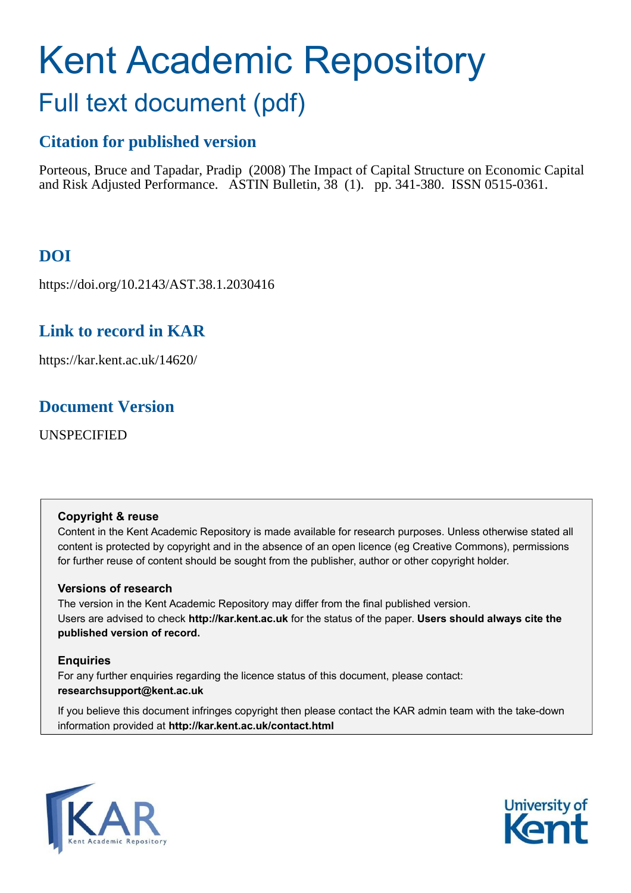# Kent Academic Repository Full text document (pdf)

# **Citation for published version**

Porteous, Bruce and Tapadar, Pradip (2008) The Impact of Capital Structure on Economic Capital and Risk Adjusted Performance. ASTIN Bulletin, 38 (1). pp. 341-380. ISSN 0515-0361.

# **DOI**

https://doi.org/10.2143/AST.38.1.2030416

# **Link to record in KAR**

https://kar.kent.ac.uk/14620/

# **Document Version**

UNSPECIFIED

# **Copyright & reuse**

Content in the Kent Academic Repository is made available for research purposes. Unless otherwise stated all content is protected by copyright and in the absence of an open licence (eg Creative Commons), permissions for further reuse of content should be sought from the publisher, author or other copyright holder.

# **Versions of research**

The version in the Kent Academic Repository may differ from the final published version. Users are advised to check **http://kar.kent.ac.uk** for the status of the paper. **Users should always cite the published version of record.**

# **Enquiries**

For any further enquiries regarding the licence status of this document, please contact: **researchsupport@kent.ac.uk**

If you believe this document infringes copyright then please contact the KAR admin team with the take-down information provided at **http://kar.kent.ac.uk/contact.html**



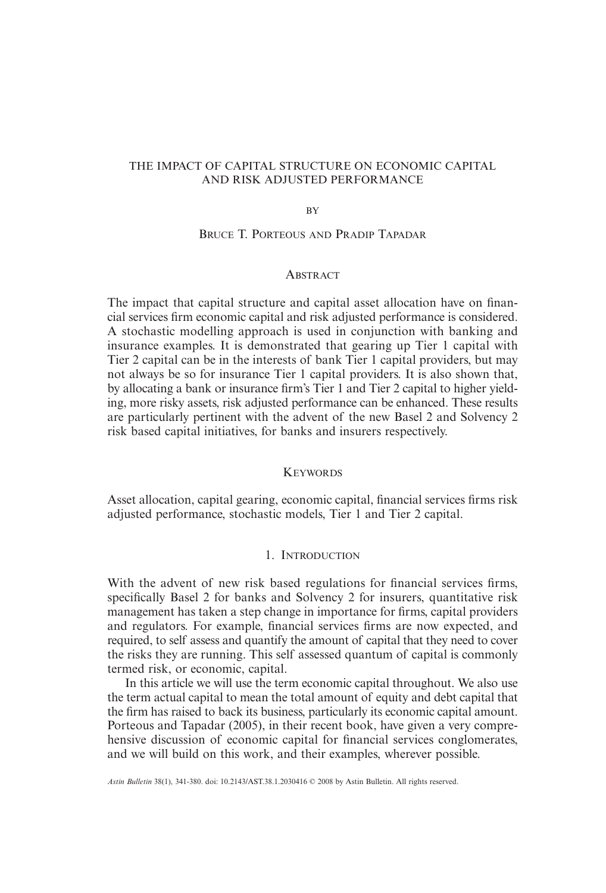#### THE IMPACT OF CAPITAL STRUCTURE ON ECONOMIC CAPITAL AND RISK ADJUSTED PERFORMANCE

BY

#### BRUCE T. PORTEOUS AND PRADIP TAPADAR

#### **ABSTRACT**

The impact that capital structure and capital asset allocation have on financial services firm economic capital and risk adjusted performance is considered. A stochastic modelling approach is used in conjunction with banking and insurance examples. It is demonstrated that gearing up Tier 1 capital with Tier 2 capital can be in the interests of bank Tier 1 capital providers, but may not always be so for insurance Tier 1 capital providers. It is also shown that, by allocating a bank or insurance firm's Tier 1 and Tier 2 capital to higher yielding, more risky assets, risk adjusted performance can be enhanced. These results are particularly pertinent with the advent of the new Basel 2 and Solvency 2 risk based capital initiatives, for banks and insurers respectively.

#### **KEYWORDS**

Asset allocation, capital gearing, economic capital, financial services firms risk adjusted performance, stochastic models, Tier 1 and Tier 2 capital.

#### 1. INTRODUCTION

With the advent of new risk based regulations for financial services firms, specifically Basel 2 for banks and Solvency 2 for insurers, quantitative risk management has taken a step change in importance for firms, capital providers and regulators. For example, financial services firms are now expected, and required, to self assess and quantify the amount of capital that they need to cover the risks they are running. This self assessed quantum of capital is commonly termed risk, or economic, capital.

In this article we will use the term economic capital throughout. We also use the term actual capital to mean the total amount of equity and debt capital that the firm has raised to back its business, particularly its economic capital amount. Porteous and Tapadar (2005), in their recent book, have given a very comprehensive discussion of economic capital for financial services conglomerates, and we will build on this work, and their examples, wherever possible.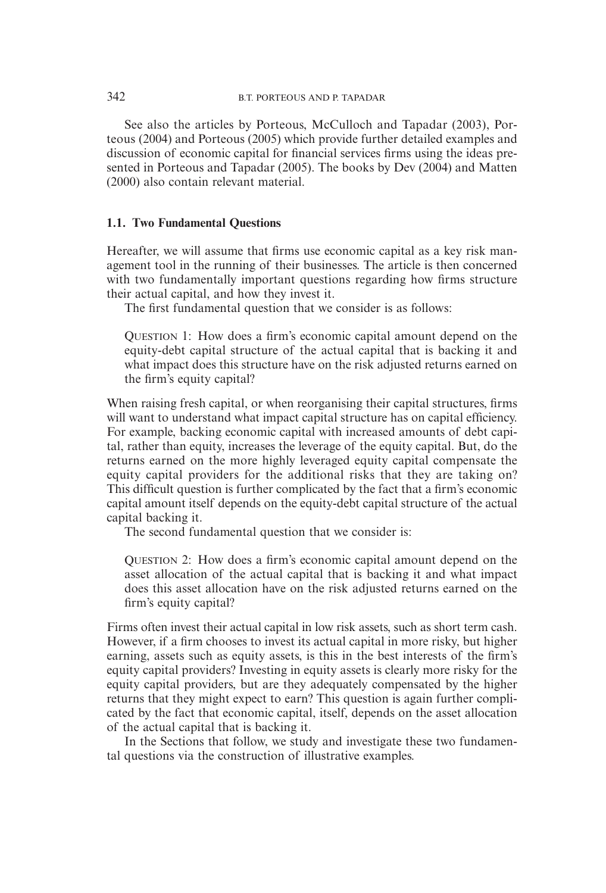See also the articles by Porteous, McCulloch and Tapadar (2003), Porteous (2004) and Porteous (2005) which provide further detailed examples and discussion of economic capital for financial services firms using the ideas presented in Porteous and Tapadar (2005). The books by Dev (2004) and Matten (2000) also contain relevant material.

#### **1.1. Two Fundamental Questions**

Hereafter, we will assume that firms use economic capital as a key risk management tool in the running of their businesses. The article is then concerned with two fundamentally important questions regarding how firms structure their actual capital, and how they invest it.

The first fundamental question that we consider is as follows:

QUESTION 1: How does a firm's economic capital amount depend on the equity-debt capital structure of the actual capital that is backing it and what impact does this structure have on the risk adjusted returns earned on the firm's equity capital?

When raising fresh capital, or when reorganising their capital structures, firms will want to understand what impact capital structure has on capital efficiency. For example, backing economic capital with increased amounts of debt capital, rather than equity, increases the leverage of the equity capital. But, do the returns earned on the more highly leveraged equity capital compensate the equity capital providers for the additional risks that they are taking on? This difficult question is further complicated by the fact that a firm's economic capital amount itself depends on the equity-debt capital structure of the actual capital backing it.

The second fundamental question that we consider is:

QUESTION 2: How does a firm's economic capital amount depend on the asset allocation of the actual capital that is backing it and what impact does this asset allocation have on the risk adjusted returns earned on the firm's equity capital?

Firms often invest their actual capital in low risk assets, such as short term cash. However, if a firm chooses to invest its actual capital in more risky, but higher earning, assets such as equity assets, is this in the best interests of the firm's equity capital providers? Investing in equity assets is clearly more risky for the equity capital providers, but are they adequately compensated by the higher returns that they might expect to earn? This question is again further complicated by the fact that economic capital, itself, depends on the asset allocation of the actual capital that is backing it.

In the Sections that follow, we study and investigate these two fundamental questions via the construction of illustrative examples.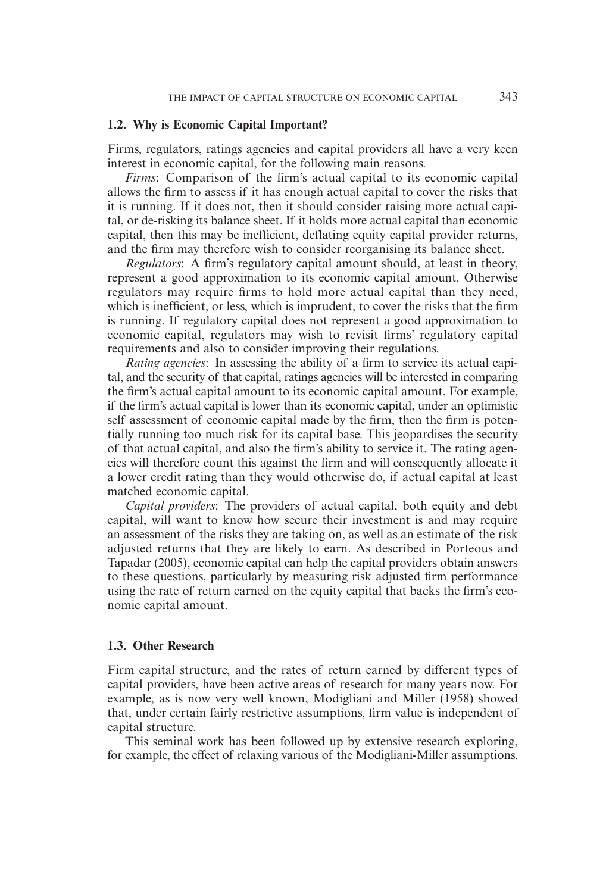#### **1.2. Why is Economic Capital Important?**

Firms, regulators, ratings agencies and capital providers all have a very keen interest in economic capital, for the following main reasons.

*Firms*: Comparison of the firm's actual capital to its economic capital allows the firm to assess if it has enough actual capital to cover the risks that it is running. If it does not, then it should consider raising more actual capital, or de-risking its balance sheet. If it holds more actual capital than economic capital, then this may be inefficient, deflating equity capital provider returns, and the firm may therefore wish to consider reorganising its balance sheet.

*Regulators*: A firm's regulatory capital amount should, at least in theory, represent a good approximation to its economic capital amount. Otherwise regulators may require firms to hold more actual capital than they need, which is inefficient, or less, which is imprudent, to cover the risks that the firm is running. If regulatory capital does not represent a good approximation to economic capital, regulators may wish to revisit firms' regulatory capital requirements and also to consider improving their regulations.

*Rating agencies*: In assessing the ability of a firm to service its actual capital, and the security of that capital, ratings agencies will be interested in comparing the firm's actual capital amount to its economic capital amount. For example, if the firm's actual capital is lower than its economic capital, under an optimistic self assessment of economic capital made by the firm, then the firm is potentially running too much risk for its capital base. This jeopardises the security of that actual capital, and also the firm's ability to service it. The rating agencies will therefore count this against the firm and will consequently allocate it a lower credit rating than they would otherwise do, if actual capital at least matched economic capital.

*Capital providers*: The providers of actual capital, both equity and debt capital, will want to know how secure their investment is and may require an assessment of the risks they are taking on, as well as an estimate of the risk adjusted returns that they are likely to earn. As described in Porteous and Tapadar (2005), economic capital can help the capital providers obtain answers to these questions, particularly by measuring risk adjusted firm performance using the rate of return earned on the equity capital that backs the firm's economic capital amount.

#### **1.3. Other Research**

Firm capital structure, and the rates of return earned by different types of capital providers, have been active areas of research for many years now. For example, as is now very well known, Modigliani and Miller (1958) showed that, under certain fairly restrictive assumptions, firm value is independent of capital structure.

This seminal work has been followed up by extensive research exploring, for example, the effect of relaxing various of the Modigliani-Miller assumptions.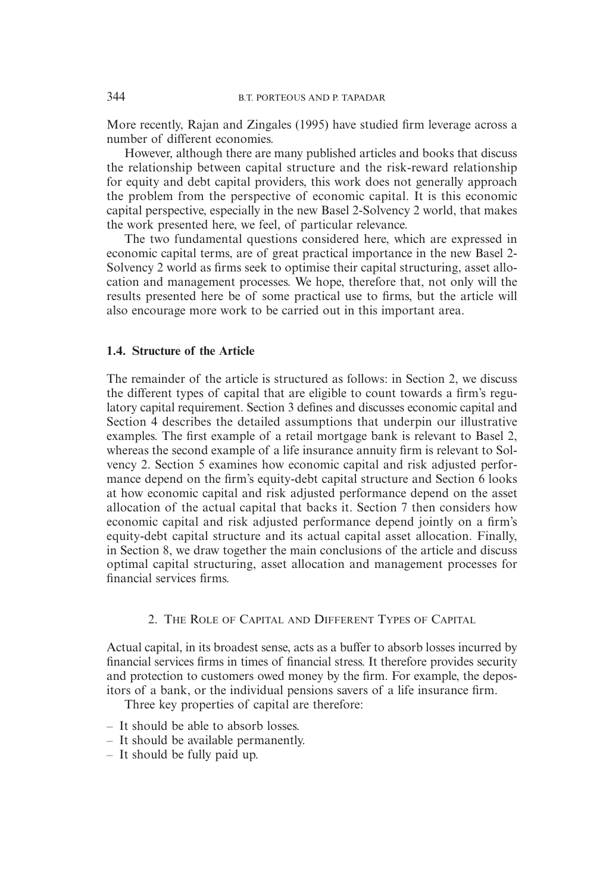More recently, Rajan and Zingales (1995) have studied firm leverage across a number of different economies.

However, although there are many published articles and books that discuss the relationship between capital structure and the risk-reward relationship for equity and debt capital providers, this work does not generally approach the problem from the perspective of economic capital. It is this economic capital perspective, especially in the new Basel 2-Solvency 2 world, that makes the work presented here, we feel, of particular relevance.

The two fundamental questions considered here, which are expressed in economic capital terms, are of great practical importance in the new Basel 2- Solvency 2 world as firms seek to optimise their capital structuring, asset allocation and management processes. We hope, therefore that, not only will the results presented here be of some practical use to firms, but the article will also encourage more work to be carried out in this important area.

#### **1.4. Structure of the Article**

The remainder of the article is structured as follows: in Section 2, we discuss the different types of capital that are eligible to count towards a firm's regulatory capital requirement. Section 3 defines and discusses economic capital and Section 4 describes the detailed assumptions that underpin our illustrative examples. The first example of a retail mortgage bank is relevant to Basel 2, whereas the second example of a life insurance annuity firm is relevant to Solvency 2. Section 5 examines how economic capital and risk adjusted performance depend on the firm's equity-debt capital structure and Section 6 looks at how economic capital and risk adjusted performance depend on the asset allocation of the actual capital that backs it. Section 7 then considers how economic capital and risk adjusted performance depend jointly on a firm's equity-debt capital structure and its actual capital asset allocation. Finally, in Section 8, we draw together the main conclusions of the article and discuss optimal capital structuring, asset allocation and management processes for financial services firms.

#### 2. THE ROLE OF CAPITAL AND DIFFERENT TYPES OF CAPITAL

Actual capital, in its broadest sense, acts as a buffer to absorb losses incurred by financial services firms in times of financial stress. It therefore provides security and protection to customers owed money by the firm. For example, the depositors of a bank, or the individual pensions savers of a life insurance firm.

Three key properties of capital are therefore:

- It should be able to absorb losses.
- It should be available permanently.
- It should be fully paid up.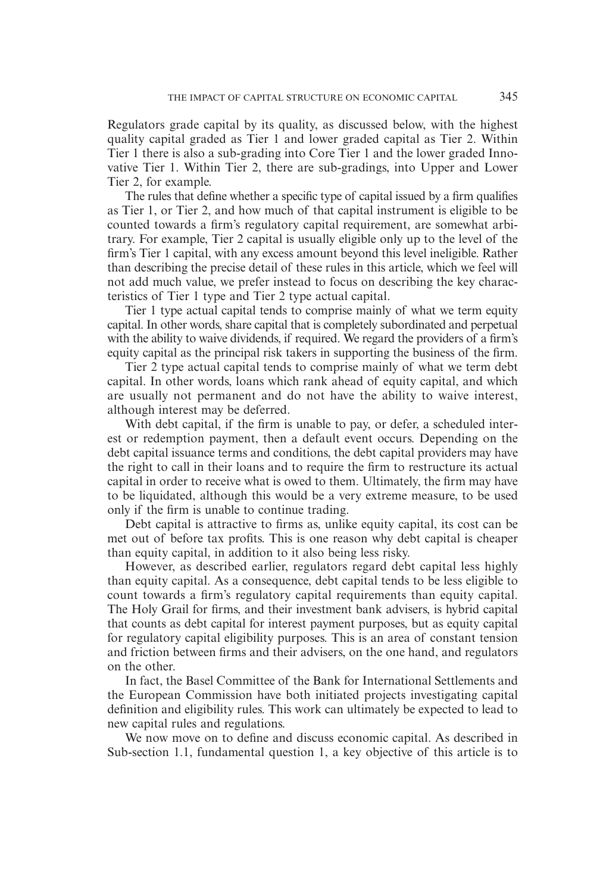Regulators grade capital by its quality, as discussed below, with the highest quality capital graded as Tier 1 and lower graded capital as Tier 2. Within Tier 1 there is also a sub-grading into Core Tier 1 and the lower graded Innovative Tier 1. Within Tier 2, there are sub-gradings, into Upper and Lower Tier 2, for example.

The rules that define whether a specific type of capital issued by a firm qualifies as Tier 1, or Tier 2, and how much of that capital instrument is eligible to be counted towards a firm's regulatory capital requirement, are somewhat arbitrary. For example, Tier 2 capital is usually eligible only up to the level of the firm's Tier 1 capital, with any excess amount beyond this level ineligible. Rather than describing the precise detail of these rules in this article, which we feel will not add much value, we prefer instead to focus on describing the key characteristics of Tier 1 type and Tier 2 type actual capital.

Tier 1 type actual capital tends to comprise mainly of what we term equity capital. In other words, share capital that is completely subordinated and perpetual with the ability to waive dividends, if required. We regard the providers of a firm's equity capital as the principal risk takers in supporting the business of the firm.

Tier 2 type actual capital tends to comprise mainly of what we term debt capital. In other words, loans which rank ahead of equity capital, and which are usually not permanent and do not have the ability to waive interest, although interest may be deferred.

With debt capital, if the firm is unable to pay, or defer, a scheduled interest or redemption payment, then a default event occurs. Depending on the debt capital issuance terms and conditions, the debt capital providers may have the right to call in their loans and to require the firm to restructure its actual capital in order to receive what is owed to them. Ultimately, the firm may have to be liquidated, although this would be a very extreme measure, to be used only if the firm is unable to continue trading.

Debt capital is attractive to firms as, unlike equity capital, its cost can be met out of before tax profits. This is one reason why debt capital is cheaper than equity capital, in addition to it also being less risky.

However, as described earlier, regulators regard debt capital less highly than equity capital. As a consequence, debt capital tends to be less eligible to count towards a firm's regulatory capital requirements than equity capital. The Holy Grail for firms, and their investment bank advisers, is hybrid capital that counts as debt capital for interest payment purposes, but as equity capital for regulatory capital eligibility purposes. This is an area of constant tension and friction between firms and their advisers, on the one hand, and regulators on the other.

In fact, the Basel Committee of the Bank for International Settlements and the European Commission have both initiated projects investigating capital definition and eligibility rules. This work can ultimately be expected to lead to new capital rules and regulations.

We now move on to define and discuss economic capital. As described in Sub-section 1.1, fundamental question 1, a key objective of this article is to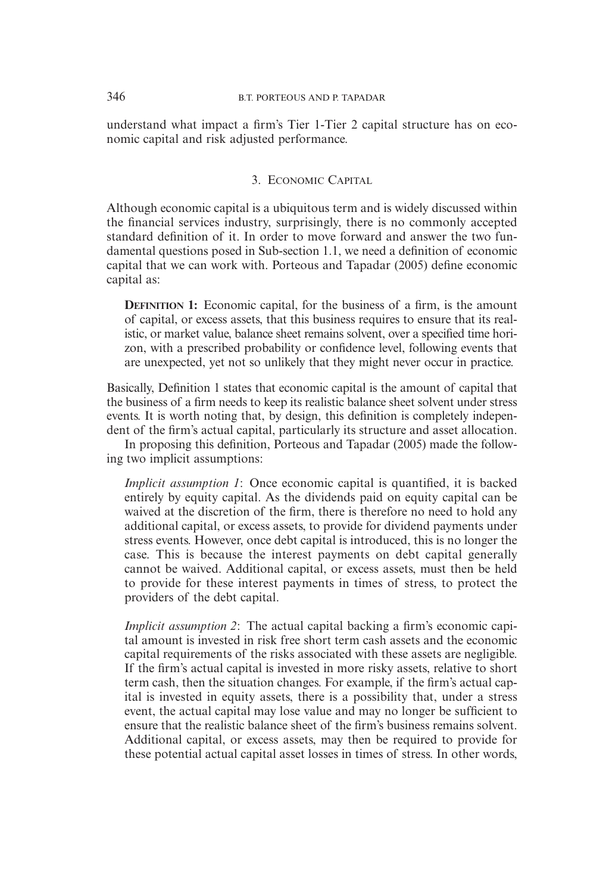understand what impact a firm's Tier 1-Tier 2 capital structure has on economic capital and risk adjusted performance.

#### 3. ECONOMIC CAPITAL

Although economic capital is a ubiquitous term and is widely discussed within the financial services industry, surprisingly, there is no commonly accepted standard definition of it. In order to move forward and answer the two fundamental questions posed in Sub-section 1.1, we need a definition of economic capital that we can work with. Porteous and Tapadar (2005) define economic capital as:

**DEFINITION 1:** Economic capital, for the business of a firm, is the amount of capital, or excess assets, that this business requires to ensure that its realistic, or market value, balance sheet remains solvent, over a specified time horizon, with a prescribed probability or confidence level, following events that are unexpected, yet not so unlikely that they might never occur in practice.

Basically, Definition 1 states that economic capital is the amount of capital that the business of a firm needs to keep its realistic balance sheet solvent under stress events. It is worth noting that, by design, this definition is completely independent of the firm's actual capital, particularly its structure and asset allocation.

In proposing this definition, Porteous and Tapadar (2005) made the following two implicit assumptions:

*Implicit assumption 1*: Once economic capital is quantified, it is backed entirely by equity capital. As the dividends paid on equity capital can be waived at the discretion of the firm, there is therefore no need to hold any additional capital, or excess assets, to provide for dividend payments under stress events. However, once debt capital is introduced, this is no longer the case. This is because the interest payments on debt capital generally cannot be waived. Additional capital, or excess assets, must then be held to provide for these interest payments in times of stress, to protect the providers of the debt capital.

*Implicit assumption 2*: The actual capital backing a firm's economic capital amount is invested in risk free short term cash assets and the economic capital requirements of the risks associated with these assets are negligible. If the firm's actual capital is invested in more risky assets, relative to short term cash, then the situation changes. For example, if the firm's actual capital is invested in equity assets, there is a possibility that, under a stress event, the actual capital may lose value and may no longer be sufficient to ensure that the realistic balance sheet of the firm's business remains solvent. Additional capital, or excess assets, may then be required to provide for these potential actual capital asset losses in times of stress. In other words,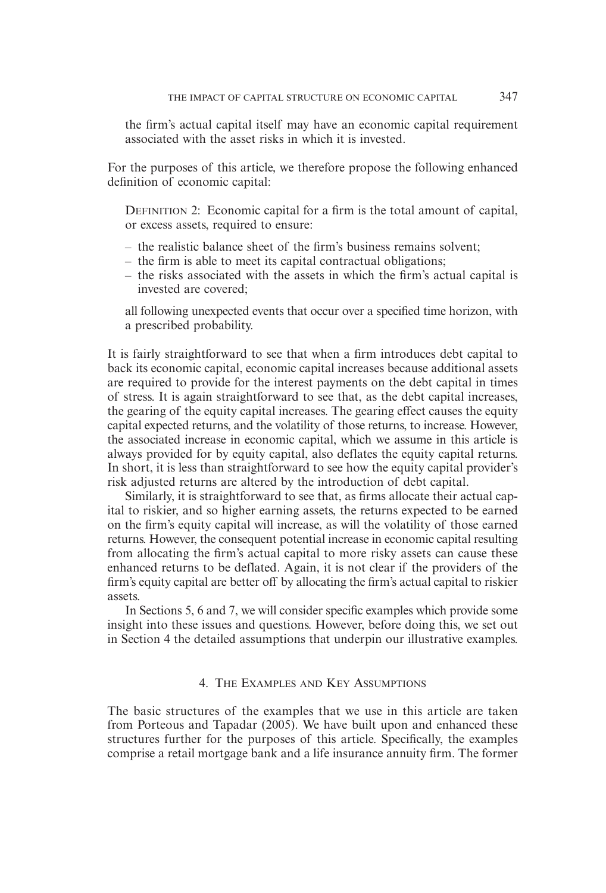the firm's actual capital itself may have an economic capital requirement associated with the asset risks in which it is invested.

For the purposes of this article, we therefore propose the following enhanced definition of economic capital:

DEFINITION 2: Economic capital for a firm is the total amount of capital, or excess assets, required to ensure:

- the realistic balance sheet of the firm's business remains solvent;
- the firm is able to meet its capital contractual obligations;
- the risks associated with the assets in which the firm's actual capital is invested are covered;

all following unexpected events that occur over a specified time horizon, with a prescribed probability.

It is fairly straightforward to see that when a firm introduces debt capital to back its economic capital, economic capital increases because additional assets are required to provide for the interest payments on the debt capital in times of stress. It is again straightforward to see that, as the debt capital increases, the gearing of the equity capital increases. The gearing effect causes the equity capital expected returns, and the volatility of those returns, to increase. However, the associated increase in economic capital, which we assume in this article is always provided for by equity capital, also deflates the equity capital returns. In short, it is less than straightforward to see how the equity capital provider's risk adjusted returns are altered by the introduction of debt capital.

Similarly, it is straightforward to see that, as firms allocate their actual capital to riskier, and so higher earning assets, the returns expected to be earned on the firm's equity capital will increase, as will the volatility of those earned returns. However, the consequent potential increase in economic capital resulting from allocating the firm's actual capital to more risky assets can cause these enhanced returns to be deflated. Again, it is not clear if the providers of the firm's equity capital are better off by allocating the firm's actual capital to riskier assets.

In Sections 5, 6 and 7, we will consider specific examples which provide some insight into these issues and questions. However, before doing this, we set out in Section 4 the detailed assumptions that underpin our illustrative examples.

## 4. THE EXAMPLES AND KEY ASSUMPTIONS

The basic structures of the examples that we use in this article are taken from Porteous and Tapadar (2005). We have built upon and enhanced these structures further for the purposes of this article. Specifically, the examples comprise a retail mortgage bank and a life insurance annuity firm. The former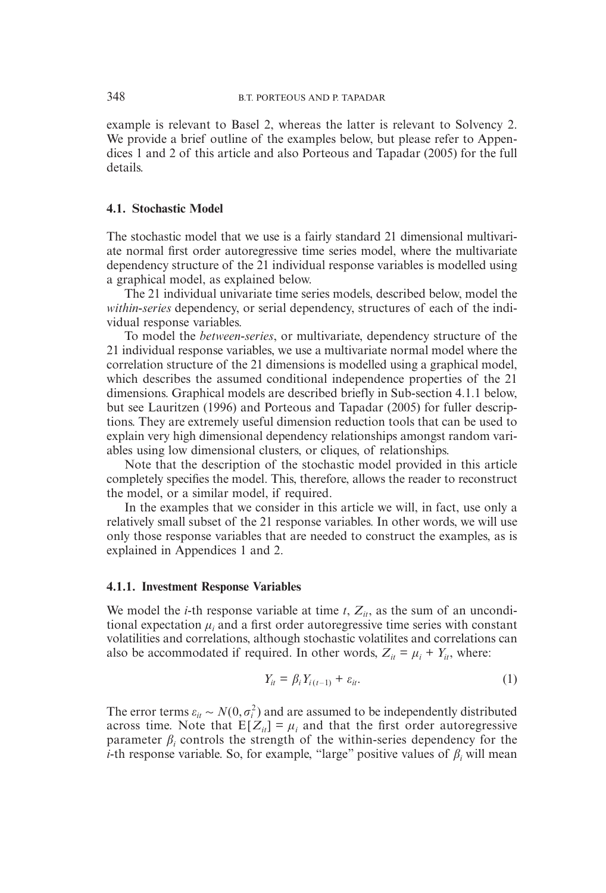example is relevant to Basel 2, whereas the latter is relevant to Solvency 2. We provide a brief outline of the examples below, but please refer to Appendices 1 and 2 of this article and also Porteous and Tapadar (2005) for the full details.

#### **4.1. Stochastic Model**

The stochastic model that we use is a fairly standard 21 dimensional multivariate normal first order autoregressive time series model, where the multivariate dependency structure of the 21 individual response variables is modelled using a graphical model, as explained below.

The 21 individual univariate time series models, described below, model the *within-series* dependency, or serial dependency, structures of each of the individual response variables.

To model the *between-series*, or multivariate, dependency structure of the 21 individual response variables, we use a multivariate normal model where the correlation structure of the 21 dimensions is modelled using a graphical model, which describes the assumed conditional independence properties of the 21 dimensions. Graphical models are described briefly in Sub-section 4.1.1 below, but see Lauritzen (1996) and Porteous and Tapadar (2005) for fuller descriptions. They are extremely useful dimension reduction tools that can be used to explain very high dimensional dependency relationships amongst random variables using low dimensional clusters, or cliques, of relationships.

Note that the description of the stochastic model provided in this article completely specifies the model. This, therefore, allows the reader to reconstruct the model, or a similar model, if required.

In the examples that we consider in this article we will, in fact, use only a relatively small subset of the 21 response variables. In other words, we will use only those response variables that are needed to construct the examples, as is explained in Appendices 1 and 2.

#### **4.1.1. Investment Response Variables**

We model the *i*-th response variable at time  $t$ ,  $Z_{it}$ , as the sum of an unconditional expectation  $\mu_i$  and a first order autoregressive time series with constant volatilities and correlations, although stochastic volatilites and correlations can also be accommodated if required. In other words,  $Z_i = \mu_i + Y_i$ , where:

$$
Y_{it} = \beta_i Y_{i(t-1)} + \varepsilon_{it}.
$$
\n<sup>(1)</sup>

The error terms  $\varepsilon_{it} \sim N(0, \sigma_i^2)$  and are assumed to be independently distributed across time. Note that  $E[Z_{it}] = \mu_i$  and that the first order autoregressive parameter  $\beta_i$  controls the strength of the within-series dependency for the *i*-th response variable. So, for example, "large" positive values of  $\beta_i$  will mean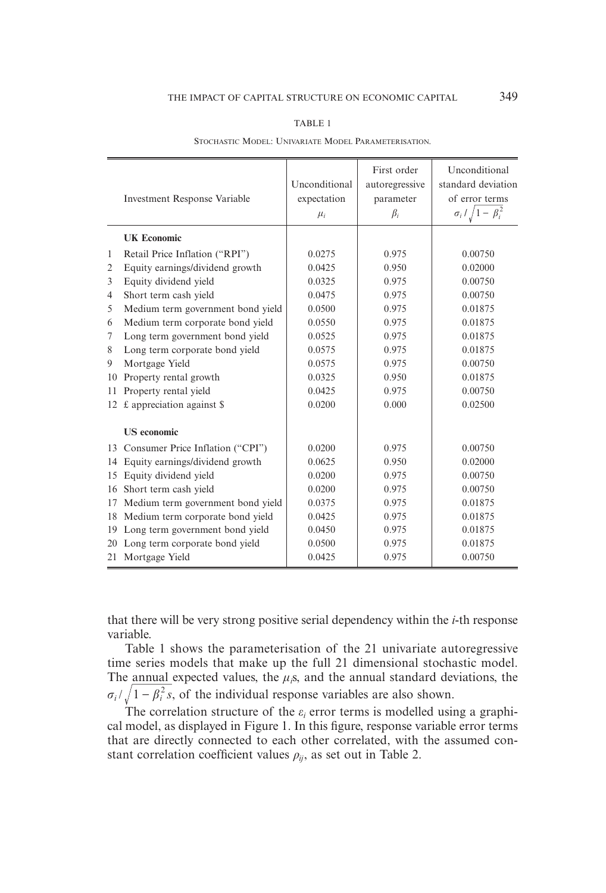|                |                                   |               | First order    | Unconditional                     |
|----------------|-----------------------------------|---------------|----------------|-----------------------------------|
|                |                                   | Unconditional | autoregressive | standard deviation                |
|                | Investment Response Variable      | expectation   | parameter      | of error terms                    |
|                |                                   | $\mu_i$       | $\beta_i$      | $\sigma_i / \sqrt{1 - \beta_i^2}$ |
|                | <b>UK Economic</b>                |               |                |                                   |
| $\mathbf{1}$   | Retail Price Inflation ("RPI")    | 0.0275        | 0.975          | 0.00750                           |
| 2              | Equity earnings/dividend growth   | 0.0425        | 0.950          | 0.02000                           |
| 3              | Equity dividend yield             | 0.0325        | 0.975          | 0.00750                           |
| $\overline{4}$ | Short term cash yield             | 0.0475        | 0.975          | 0.00750                           |
| 5              | Medium term government bond yield | 0.0500        | 0.975          | 0.01875                           |
| 6              | Medium term corporate bond yield  | 0.0550        | 0.975          | 0.01875                           |
| 7              | Long term government bond yield   | 0.0525        | 0.975          | 0.01875                           |
| 8              | Long term corporate bond yield    | 0.0575        | 0.975          | 0.01875                           |
| 9              | Mortgage Yield                    | 0.0575        | 0.975          | 0.00750                           |
| 10             | Property rental growth            | 0.0325        | 0.950          | 0.01875                           |
| 11             | Property rental yield             | 0.0425        | 0.975          | 0.00750                           |
| 12             | $£$ appreciation against $$$      | 0.0200        | 0.000          | 0.02500                           |
|                | <b>US</b> economic                |               |                |                                   |
| 13             | Consumer Price Inflation ("CPI")  | 0.0200        | 0.975          | 0.00750                           |
| 14             | Equity earnings/dividend growth   | 0.0625        | 0.950          | 0.02000                           |
| 15             | Equity dividend yield             | 0.0200        | 0.975          | 0.00750                           |
| 16             | Short term cash yield             | 0.0200        | 0.975          | 0.00750                           |
| 17             | Medium term government bond yield | 0.0375        | 0.975          | 0.01875                           |
| 18             | Medium term corporate bond yield  | 0.0425        | 0.975          | 0.01875                           |
| 19             | Long term government bond yield   | 0.0450        | 0.975          | 0.01875                           |
| 20             | Long term corporate bond yield    | 0.0500        | 0.975          | 0.01875                           |
| 21             | Mortgage Yield                    | 0.0425        | 0.975          | 0.00750                           |

STOCHASTIC MODEL: UNIVARIATE MODEL PARAMETERISATION.

that there will be very strong positive serial dependency within the *i*-th response variable.

Table 1 shows the parameterisation of the 21 univariate autoregressive time series models that make up the full 21 dimensional stochastic model. The  $\frac{annual}{expected}$  values, the  $\mu_i$ s, and the annual standard deviations, the  $\sigma_i / \sqrt{1 - \beta_i^2} s$ , of the individual response variables are also shown.

The correlation structure of the  $\varepsilon_i$  error terms is modelled using a graphical model, as displayed in Figure 1. In this figure, response variable error terms that are directly connected to each other correlated, with the assumed constant correlation coefficient values  $\rho_{ii}$ , as set out in Table 2.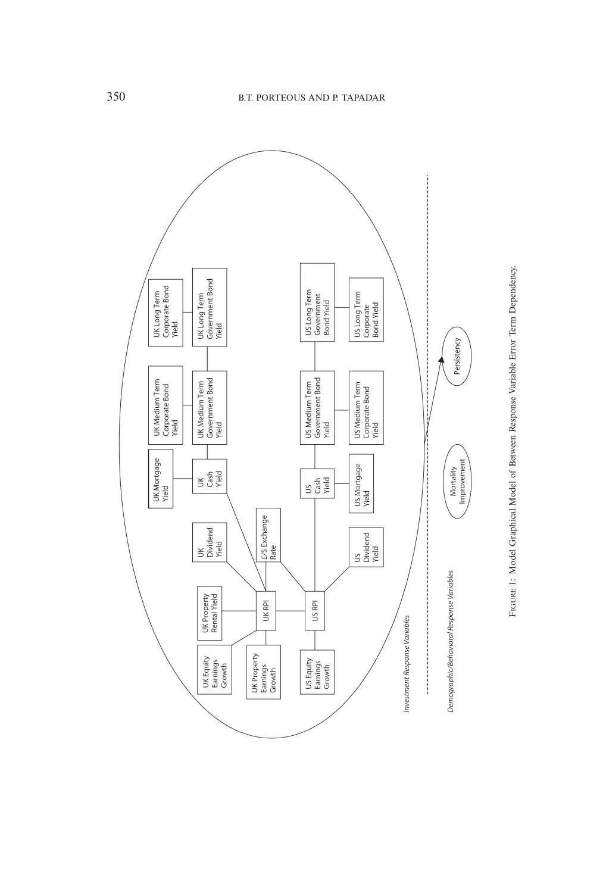

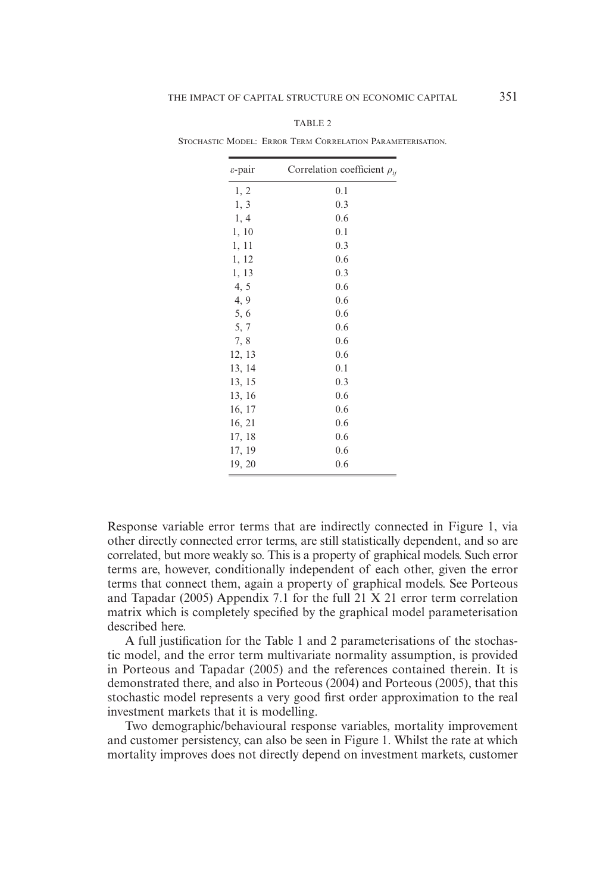| ε-pair | Correlation coefficient $\rho_{ii}$ |
|--------|-------------------------------------|
| 1, 2   | 0.1                                 |
| 1, 3   | 0.3                                 |
| 1, 4   | 0.6                                 |
| 1, 10  | 0.1                                 |
| 1, 11  | 0.3                                 |
| 1, 12  | 0.6                                 |
| 1, 13  | 0.3                                 |
| 4, 5   | 0.6                                 |
| 4, 9   | 0.6                                 |
| 5, 6   | 0.6                                 |
| 5, 7   | 0.6                                 |
| 7,8    | 0.6                                 |
| 12, 13 | 0.6                                 |
| 13, 14 | 0.1                                 |
| 13, 15 | 0.3                                 |
| 13, 16 | 0.6                                 |
| 16, 17 | 0.6                                 |
| 16, 21 | 0.6                                 |
| 17, 18 | 0.6                                 |
| 17, 19 | 0.6                                 |
| 19, 20 | 0.6                                 |

TABLE 2 STOCHASTIC MODEL: ERROR TERM CORRELATION PARAMETERISATION.

Response variable error terms that are indirectly connected in Figure 1, via other directly connected error terms, are still statistically dependent, and so are correlated, but more weakly so. This is a property of graphical models. Such error terms are, however, conditionally independent of each other, given the error terms that connect them, again a property of graphical models. See Porteous and Tapadar (2005) Appendix 7.1 for the full 21 X 21 error term correlation matrix which is completely specified by the graphical model parameterisation described here.

A full justification for the Table 1 and 2 parameterisations of the stochastic model, and the error term multivariate normality assumption, is provided in Porteous and Tapadar (2005) and the references contained therein. It is demonstrated there, and also in Porteous (2004) and Porteous (2005), that this stochastic model represents a very good first order approximation to the real investment markets that it is modelling.

Two demographic/behavioural response variables, mortality improvement and customer persistency, can also be seen in Figure 1. Whilst the rate at which mortality improves does not directly depend on investment markets, customer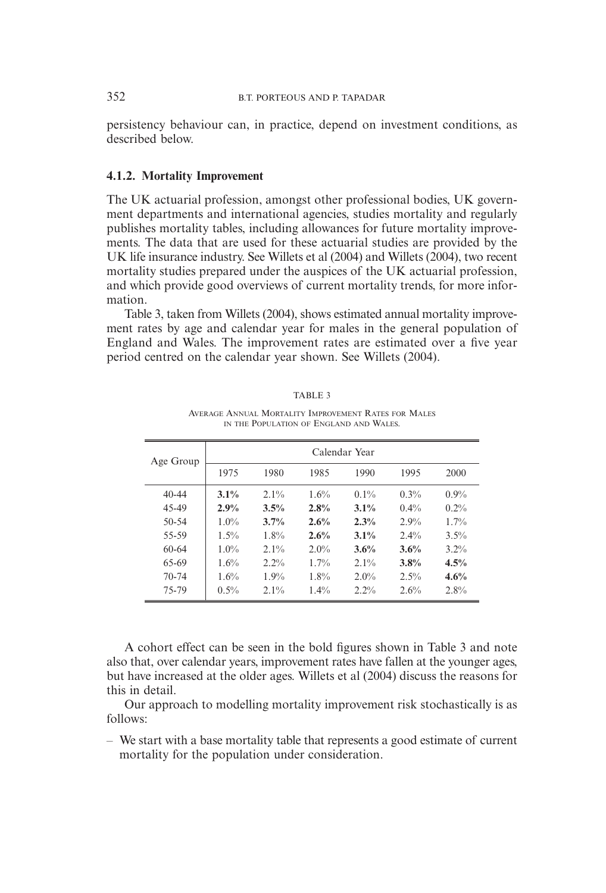persistency behaviour can, in practice, depend on investment conditions, as described below.

#### **4.1.2. Mortality Improvement**

The UK actuarial profession, amongst other professional bodies, UK government departments and international agencies, studies mortality and regularly publishes mortality tables, including allowances for future mortality improvements. The data that are used for these actuarial studies are provided by the UK life insurance industry. See Willets et al (2004) and Willets (2004), two recent mortality studies prepared under the auspices of the UK actuarial profession, and which provide good overviews of current mortality trends, for more information.

Table 3, taken from Willets (2004), shows estimated annual mortality improvement rates by age and calendar year for males in the general population of England and Wales. The improvement rates are estimated over a five year period centred on the calendar year shown. See Willets (2004).

| Age Group |         |         |         | Calendar Year |         |         |
|-----------|---------|---------|---------|---------------|---------|---------|
|           | 1975    | 1980    | 1985    | 1990          | 1995    | 2000    |
| $40 - 44$ | $3.1\%$ | $2.1\%$ | 1.6%    | $0.1\%$       | $0.3\%$ | $0.9\%$ |
| 45-49     | 2.9%    | 3.5%    | 2.8%    | $3.1\%$       | $0.4\%$ | $0.2\%$ |
| $50 - 54$ | $1.0\%$ | 3.7%    | 2.6%    | 2.3%          | 2.9%    | $1.7\%$ |
| 55-59     | $1.5\%$ | $1.8\%$ | 2.6%    | $3.1\%$       | $2.4\%$ | $3.5\%$ |
| $60 - 64$ | $1.0\%$ | $2.1\%$ | $2.0\%$ | 3.6%          | 3.6%    | $3.2\%$ |
| 65-69     | 1.6%    | $2.2\%$ | $1.7\%$ | $2.1\%$       | 3.8%    | 4.5%    |
| $70 - 74$ | 1.6%    | $1.9\%$ | $1.8\%$ | $2.0\%$       | $2.5\%$ | 4.6%    |
| 75-79     | $0.5\%$ | $2.1\%$ | $1.4\%$ | $2.2\%$       | 2.6%    | $2.8\%$ |

TABLE 3

AVERAGE ANNUAL MORTALITY IMPROVEMENT RATES FOR MALES IN THE POPULATION OF ENGLAND AND WALES.

A cohort effect can be seen in the bold figures shown in Table 3 and note also that, over calendar years, improvement rates have fallen at the younger ages, but have increased at the older ages. Willets et al (2004) discuss the reasons for this in detail.

Our approach to modelling mortality improvement risk stochastically is as follows:

– We start with a base mortality table that represents a good estimate of current mortality for the population under consideration.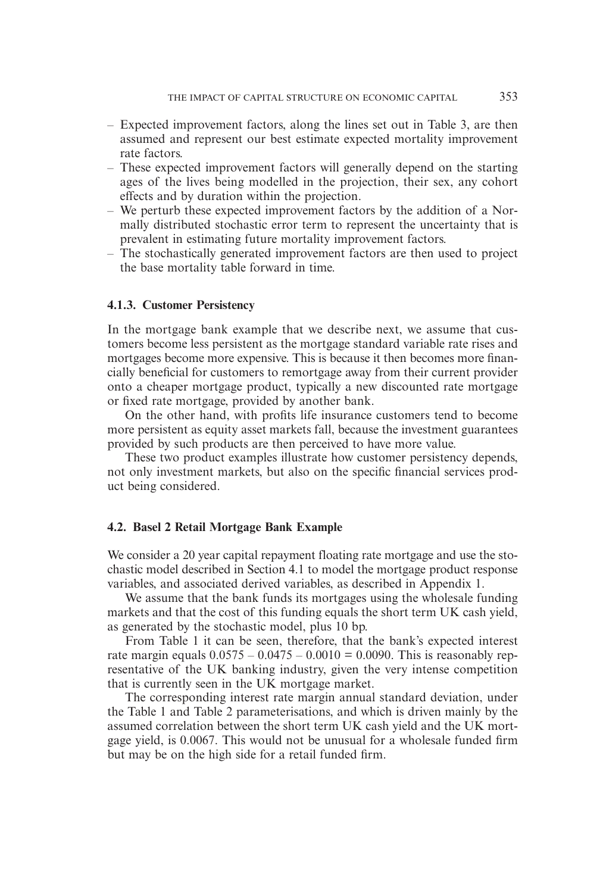- Expected improvement factors, along the lines set out in Table 3, are then assumed and represent our best estimate expected mortality improvement rate factors.
- These expected improvement factors will generally depend on the starting ages of the lives being modelled in the projection, their sex, any cohort effects and by duration within the projection.
- We perturb these expected improvement factors by the addition of a Normally distributed stochastic error term to represent the uncertainty that is prevalent in estimating future mortality improvement factors.
- The stochastically generated improvement factors are then used to project the base mortality table forward in time.

#### **4.1.3. Customer Persistency**

In the mortgage bank example that we describe next, we assume that customers become less persistent as the mortgage standard variable rate rises and mortgages become more expensive. This is because it then becomes more financially beneficial for customers to remortgage away from their current provider onto a cheaper mortgage product, typically a new discounted rate mortgage or fixed rate mortgage, provided by another bank.

On the other hand, with profits life insurance customers tend to become more persistent as equity asset markets fall, because the investment guarantees provided by such products are then perceived to have more value.

These two product examples illustrate how customer persistency depends, not only investment markets, but also on the specific financial services product being considered.

#### **4.2. Basel 2 Retail Mortgage Bank Example**

We consider a 20 year capital repayment floating rate mortgage and use the stochastic model described in Section 4.1 to model the mortgage product response variables, and associated derived variables, as described in Appendix 1.

We assume that the bank funds its mortgages using the wholesale funding markets and that the cost of this funding equals the short term UK cash yield, as generated by the stochastic model, plus 10 bp.

From Table 1 it can be seen, therefore, that the bank's expected interest rate margin equals  $0.0575 - 0.0475 - 0.0010 = 0.0090$ . This is reasonably representative of the UK banking industry, given the very intense competition that is currently seen in the UK mortgage market.

The corresponding interest rate margin annual standard deviation, under the Table 1 and Table 2 parameterisations, and which is driven mainly by the assumed correlation between the short term UK cash yield and the UK mortgage yield, is 0.0067. This would not be unusual for a wholesale funded firm but may be on the high side for a retail funded firm.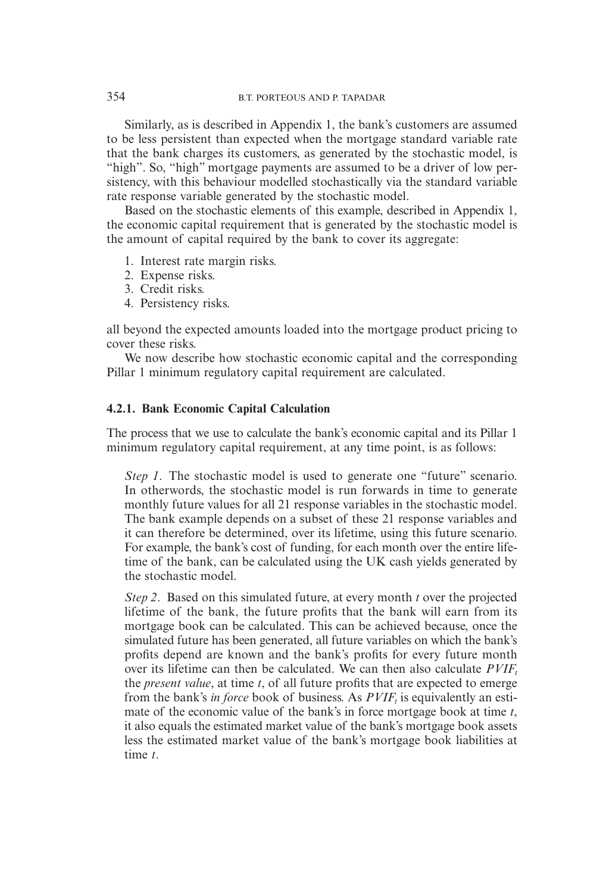Similarly, as is described in Appendix 1, the bank's customers are assumed to be less persistent than expected when the mortgage standard variable rate that the bank charges its customers, as generated by the stochastic model, is "high". So, "high" mortgage payments are assumed to be a driver of low persistency, with this behaviour modelled stochastically via the standard variable rate response variable generated by the stochastic model.

Based on the stochastic elements of this example, described in Appendix 1, the economic capital requirement that is generated by the stochastic model is the amount of capital required by the bank to cover its aggregate:

- 1. Interest rate margin risks.
- 2. Expense risks.
- 3. Credit risks.
- 4. Persistency risks.

all beyond the expected amounts loaded into the mortgage product pricing to cover these risks.

We now describe how stochastic economic capital and the corresponding Pillar 1 minimum regulatory capital requirement are calculated.

### **4.2.1. Bank Economic Capital Calculation**

The process that we use to calculate the bank's economic capital and its Pillar 1 minimum regulatory capital requirement, at any time point, is as follows:

*Step 1*. The stochastic model is used to generate one "future" scenario. In otherwords, the stochastic model is run forwards in time to generate monthly future values for all 21 response variables in the stochastic model. The bank example depends on a subset of these 21 response variables and it can therefore be determined, over its lifetime, using this future scenario. For example, the bank's cost of funding, for each month over the entire lifetime of the bank, can be calculated using the UK cash yields generated by the stochastic model.

*Step 2*. Based on this simulated future, at every month *t* over the projected lifetime of the bank, the future profits that the bank will earn from its mortgage book can be calculated. This can be achieved because, once the simulated future has been generated, all future variables on which the bank's profits depend are known and the bank's profits for every future month over its lifetime can then be calculated. We can then also calculate *PVIF<sup>t</sup>* the *present value*, at time *t*, of all future profits that are expected to emerge from the bank's *in force* book of business. As *PVIF<sup>t</sup>* is equivalently an estimate of the economic value of the bank's in force mortgage book at time *t*, it also equals the estimated market value of the bank's mortgage book assets less the estimated market value of the bank's mortgage book liabilities at time *t*.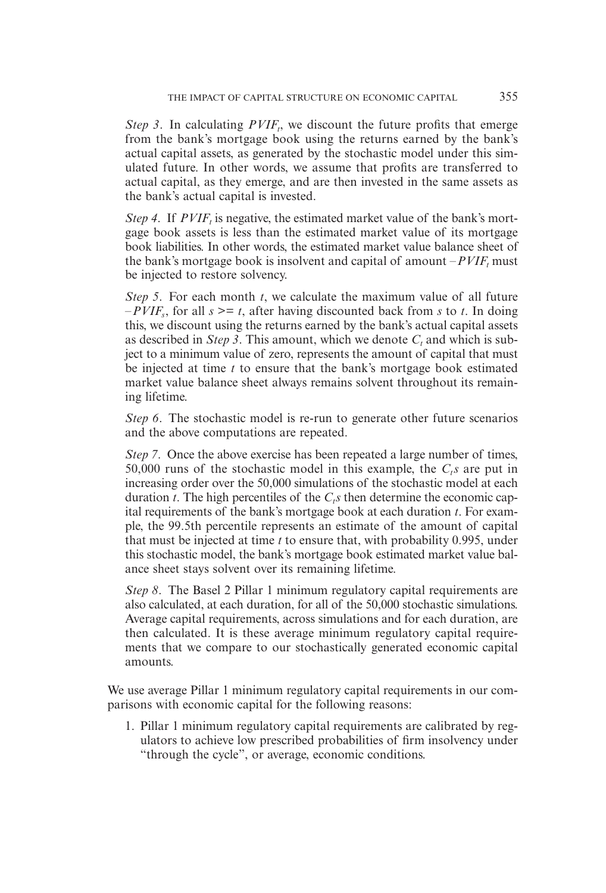*Step 3*. In calculating  $PVIF_t$ , we discount the future profits that emerge from the bank's mortgage book using the returns earned by the bank's actual capital assets, as generated by the stochastic model under this simulated future. In other words, we assume that profits are transferred to actual capital, as they emerge, and are then invested in the same assets as the bank's actual capital is invested.

*Step 4.* If  $PVIF<sub>t</sub>$  is negative, the estimated market value of the bank's mortgage book assets is less than the estimated market value of its mortgage book liabilities. In other words, the estimated market value balance sheet of the bank's mortgage book is insolvent and capital of amount  $-PVIF_t$  must be injected to restore solvency.

*Step 5*. For each month *t*, we calculate the maximum value of all future *–PVIF<sup>s</sup>* , for all *s >= t*, after having discounted back from *s* to *t*. In doing this, we discount using the returns earned by the bank's actual capital assets as described in *Step 3*. This amount, which we denote  $C<sub>t</sub>$  and which is subject to a minimum value of zero, represents the amount of capital that must be injected at time *t* to ensure that the bank's mortgage book estimated market value balance sheet always remains solvent throughout its remaining lifetime.

*Step 6*. The stochastic model is re-run to generate other future scenarios and the above computations are repeated.

*Step 7.* Once the above exercise has been repeated a large number of times, 50,000 runs of the stochastic model in this example, the  $C_t s$  are put in increasing order over the 50,000 simulations of the stochastic model at each duration  $t$ . The high percentiles of the  $C_t s$  then determine the economic capital requirements of the bank's mortgage book at each duration *t*. For example, the 99.5th percentile represents an estimate of the amount of capital that must be injected at time *t* to ensure that, with probability 0.995, under this stochastic model, the bank's mortgage book estimated market value balance sheet stays solvent over its remaining lifetime.

*Step 8*. The Basel 2 Pillar 1 minimum regulatory capital requirements are also calculated, at each duration, for all of the 50,000 stochastic simulations. Average capital requirements, across simulations and for each duration, are then calculated. It is these average minimum regulatory capital requirements that we compare to our stochastically generated economic capital amounts.

We use average Pillar 1 minimum regulatory capital requirements in our comparisons with economic capital for the following reasons:

1. Pillar 1 minimum regulatory capital requirements are calibrated by regulators to achieve low prescribed probabilities of firm insolvency under "through the cycle", or average, economic conditions.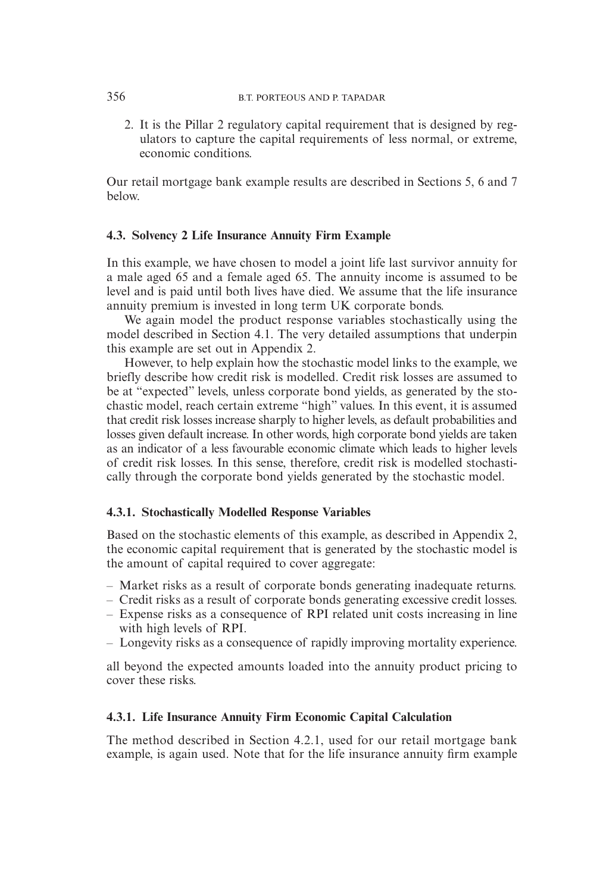2. It is the Pillar 2 regulatory capital requirement that is designed by regulators to capture the capital requirements of less normal, or extreme, economic conditions.

Our retail mortgage bank example results are described in Sections 5, 6 and 7 below.

## **4.3. Solvency 2 Life Insurance Annuity Firm Example**

In this example, we have chosen to model a joint life last survivor annuity for a male aged 65 and a female aged 65. The annuity income is assumed to be level and is paid until both lives have died. We assume that the life insurance annuity premium is invested in long term UK corporate bonds.

We again model the product response variables stochastically using the model described in Section 4.1. The very detailed assumptions that underpin this example are set out in Appendix 2.

However, to help explain how the stochastic model links to the example, we briefly describe how credit risk is modelled. Credit risk losses are assumed to be at "expected" levels, unless corporate bond yields, as generated by the stochastic model, reach certain extreme "high" values. In this event, it is assumed that credit risk losses increase sharply to higher levels, as default probabilities and losses given default increase. In other words, high corporate bond yields are taken as an indicator of a less favourable economic climate which leads to higher levels of credit risk losses. In this sense, therefore, credit risk is modelled stochastically through the corporate bond yields generated by the stochastic model.

#### **4.3.1. Stochastically Modelled Response Variables**

Based on the stochastic elements of this example, as described in Appendix 2, the economic capital requirement that is generated by the stochastic model is the amount of capital required to cover aggregate:

- Market risks as a result of corporate bonds generating inadequate returns.
- Credit risks as a result of corporate bonds generating excessive credit losses.
- Expense risks as a consequence of RPI related unit costs increasing in line with high levels of RPI.
- Longevity risks as a consequence of rapidly improving mortality experience.

all beyond the expected amounts loaded into the annuity product pricing to cover these risks.

#### **4.3.1. Life Insurance Annuity Firm Economic Capital Calculation**

The method described in Section 4.2.1, used for our retail mortgage bank example, is again used. Note that for the life insurance annuity firm example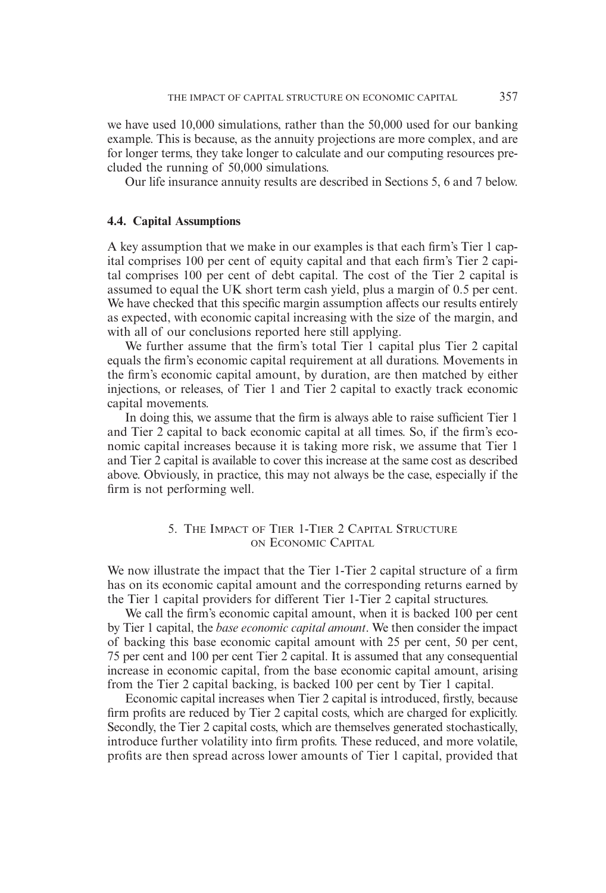we have used 10,000 simulations, rather than the 50,000 used for our banking example. This is because, as the annuity projections are more complex, and are for longer terms, they take longer to calculate and our computing resources precluded the running of 50,000 simulations.

Our life insurance annuity results are described in Sections 5, 6 and 7 below.

#### **4.4. Capital Assumptions**

A key assumption that we make in our examples is that each firm's Tier 1 capital comprises 100 per cent of equity capital and that each firm's Tier 2 capital comprises 100 per cent of debt capital. The cost of the Tier 2 capital is assumed to equal the UK short term cash yield, plus a margin of 0.5 per cent. We have checked that this specific margin assumption affects our results entirely as expected, with economic capital increasing with the size of the margin, and with all of our conclusions reported here still applying.

We further assume that the firm's total Tier 1 capital plus Tier 2 capital equals the firm's economic capital requirement at all durations. Movements in the firm's economic capital amount, by duration, are then matched by either injections, or releases, of Tier 1 and Tier 2 capital to exactly track economic capital movements.

In doing this, we assume that the firm is always able to raise sufficient Tier 1 and Tier 2 capital to back economic capital at all times. So, if the firm's economic capital increases because it is taking more risk, we assume that Tier 1 and Tier 2 capital is available to cover this increase at the same cost as described above. Obviously, in practice, this may not always be the case, especially if the firm is not performing well.

#### 5. THE IMPACT OF TIER 1-TIER 2 CAPITAL STRUCTURE ON ECONOMIC CAPITAL

We now illustrate the impact that the Tier 1-Tier 2 capital structure of a firm has on its economic capital amount and the corresponding returns earned by the Tier 1 capital providers for different Tier 1-Tier 2 capital structures.

We call the firm's economic capital amount, when it is backed 100 per cent by Tier 1 capital, the *base economic capital amount*. We then consider the impact of backing this base economic capital amount with 25 per cent, 50 per cent, 75 per cent and 100 per cent Tier 2 capital. It is assumed that any consequential increase in economic capital, from the base economic capital amount, arising from the Tier 2 capital backing, is backed 100 per cent by Tier 1 capital.

Economic capital increases when Tier 2 capital is introduced, firstly, because firm profits are reduced by Tier 2 capital costs, which are charged for explicitly. Secondly, the Tier 2 capital costs, which are themselves generated stochastically, introduce further volatility into firm profits. These reduced, and more volatile, profits are then spread across lower amounts of Tier 1 capital, provided that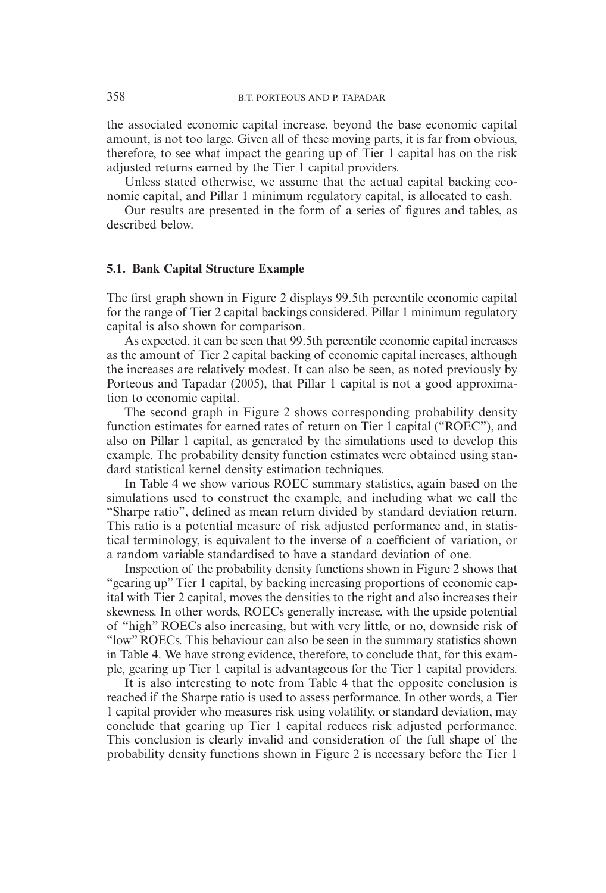the associated economic capital increase, beyond the base economic capital amount, is not too large. Given all of these moving parts, it is far from obvious, therefore, to see what impact the gearing up of Tier 1 capital has on the risk adjusted returns earned by the Tier 1 capital providers.

Unless stated otherwise, we assume that the actual capital backing economic capital, and Pillar 1 minimum regulatory capital, is allocated to cash.

Our results are presented in the form of a series of figures and tables, as described below.

#### **5.1. Bank Capital Structure Example**

The first graph shown in Figure 2 displays 99.5th percentile economic capital for the range of Tier 2 capital backings considered. Pillar 1 minimum regulatory capital is also shown for comparison.

As expected, it can be seen that 99.5th percentile economic capital increases as the amount of Tier 2 capital backing of economic capital increases, although the increases are relatively modest. It can also be seen, as noted previously by Porteous and Tapadar (2005), that Pillar 1 capital is not a good approximation to economic capital.

The second graph in Figure 2 shows corresponding probability density function estimates for earned rates of return on Tier 1 capital ("ROEC"), and also on Pillar 1 capital, as generated by the simulations used to develop this example. The probability density function estimates were obtained using standard statistical kernel density estimation techniques.

In Table 4 we show various ROEC summary statistics, again based on the simulations used to construct the example, and including what we call the "Sharpe ratio", defined as mean return divided by standard deviation return. This ratio is a potential measure of risk adjusted performance and, in statistical terminology, is equivalent to the inverse of a coefficient of variation, or a random variable standardised to have a standard deviation of one.

Inspection of the probability density functions shown in Figure 2 shows that "gearing up" Tier 1 capital, by backing increasing proportions of economic capital with Tier 2 capital, moves the densities to the right and also increases their skewness. In other words, ROECs generally increase, with the upside potential of "high" ROECs also increasing, but with very little, or no, downside risk of "low" ROECs. This behaviour can also be seen in the summary statistics shown in Table 4. We have strong evidence, therefore, to conclude that, for this example, gearing up Tier 1 capital is advantageous for the Tier 1 capital providers.

It is also interesting to note from Table 4 that the opposite conclusion is reached if the Sharpe ratio is used to assess performance. In other words, a Tier 1 capital provider who measures risk using volatility, or standard deviation, may conclude that gearing up Tier 1 capital reduces risk adjusted performance. This conclusion is clearly invalid and consideration of the full shape of the probability density functions shown in Figure 2 is necessary before the Tier 1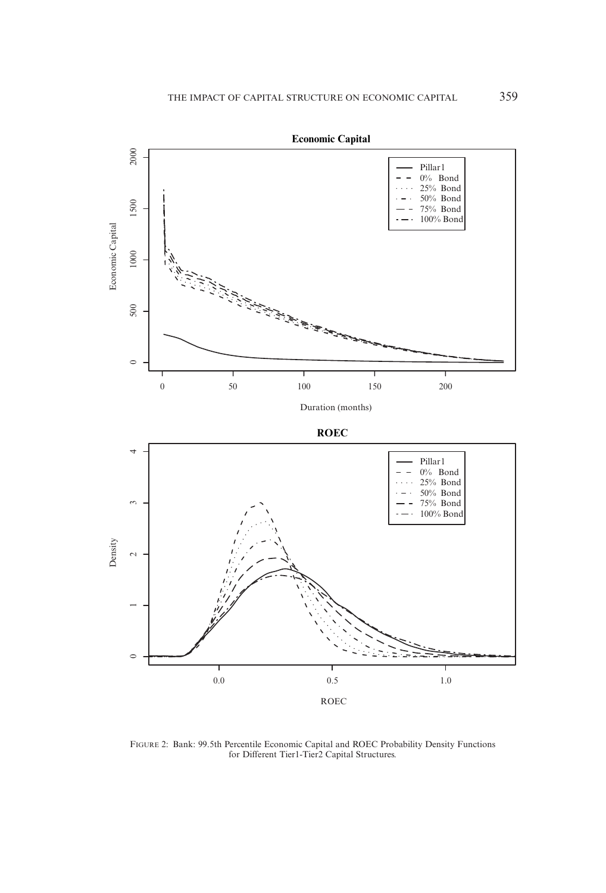

FIGURE 2: Bank: 99.5th Percentile Economic Capital and ROEC Probability Density Functions for Different Tier1-Tier2 Capital Structures.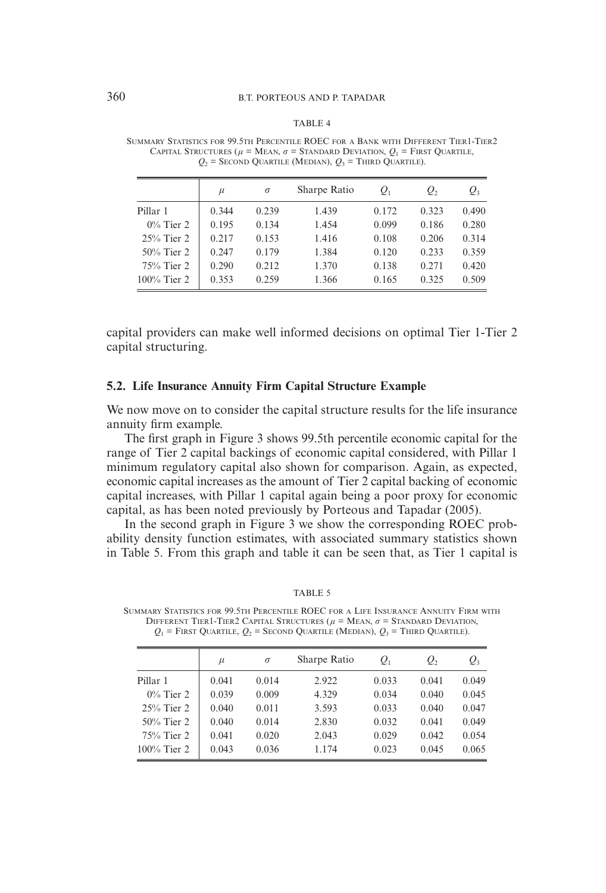#### TABLE 4

|               | $\mu$ | $\sigma$ | Sharpe Ratio | O <sub>1</sub> | $Q_{2}$ | $Q_3$ |
|---------------|-------|----------|--------------|----------------|---------|-------|
| Pillar 1      | 0.344 | 0.239    | 1.439        | 0.172          | 0.323   | 0.490 |
| $0\%$ Tier 2  | 0.195 | 0.134    | 1.454        | 0.099          | 0.186   | 0.280 |
| $25%$ Tier 2  | 0.217 | 0.153    | 1.416        | 0.108          | 0.206   | 0.314 |
| $50\%$ Tier 2 | 0.247 | 0.179    | 1.384        | 0.120          | 0.233   | 0.359 |
| 75% Tier 2    | 0.290 | 0.212    | 1.370        | 0.138          | 0.271   | 0.420 |
| 100% Tier 2   | 0.353 | 0.259    | 1.366        | 0.165          | 0.325   | 0.509 |

SUMMARY STATISTICS FOR 99.5TH PERCENTILE ROEC FOR A BANK WITH DIFFERENT TIER1-TIER2 CAPITAL STRUCTURES ( $\mu$  = MEAN,  $\sigma$  = STANDARD DEVIATION,  $O_1$  = FIRST QUARTILE,  $Q_2$  = Second Quartile (Median),  $Q_3$  = Third Quartile).

capital providers can make well informed decisions on optimal Tier 1-Tier 2 capital structuring.

#### **5.2. Life Insurance Annuity Firm Capital Structure Example**

We now move on to consider the capital structure results for the life insurance annuity firm example.

The first graph in Figure 3 shows 99.5th percentile economic capital for the range of Tier 2 capital backings of economic capital considered, with Pillar 1 minimum regulatory capital also shown for comparison. Again, as expected, economic capital increases as the amount of Tier 2 capital backing of economic capital increases, with Pillar 1 capital again being a poor proxy for economic capital, as has been noted previously by Porteous and Tapadar (2005).

In the second graph in Figure 3 we show the corresponding ROEC probability density function estimates, with associated summary statistics shown in Table 5. From this graph and table it can be seen that, as Tier 1 capital is

|                | $\mu$ | $\sigma$ | Sharpe Ratio | $Q_1$ | $Q_2$ | $Q_3$ |
|----------------|-------|----------|--------------|-------|-------|-------|
| Pillar 1       | 0.041 | 0.014    | 2.922        | 0.033 | 0.041 | 0.049 |
| $0\%$ Tier 2   | 0.039 | 0.009    | 4.329        | 0.034 | 0.040 | 0.045 |
| $25%$ Tier 2   | 0.040 | 0.011    | 3.593        | 0.033 | 0.040 | 0.047 |
| $50\%$ Tier 2  | 0.040 | 0.014    | 2.830        | 0.032 | 0.041 | 0.049 |
| 75% Tier 2     | 0.041 | 0.020    | 2.043        | 0.029 | 0.042 | 0.054 |
| $100\%$ Tier 2 | 0.043 | 0.036    | 1.174        | 0.023 | 0.045 | 0.065 |

TABLE 5 SUMMARY STATISTICS FOR 99.5TH PERCENTILE ROEC FOR A LIFE INSURANCE ANNUITY FIRM WITH

DIFFERENT TIER1-TIER2 CAPITAL STRUCTURES ( $\mu$  = MEAN,  $\sigma$  = STANDARD DEVIATION,  $Q_1$  = FIRST QUARTILE,  $Q_2$  = Second Quartile (Median),  $Q_3$  = Third Quartile).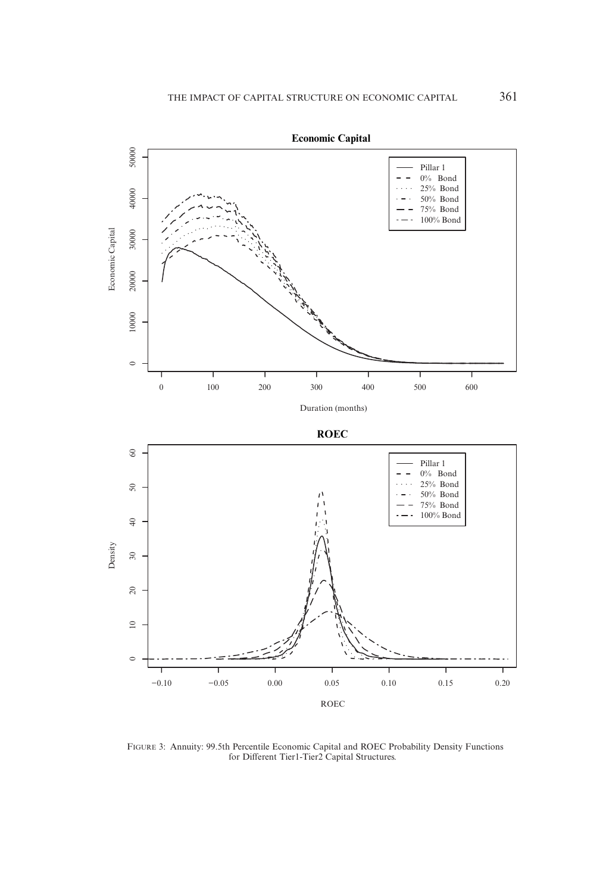

FIGURE 3: Annuity: 99.5th Percentile Economic Capital and ROEC Probability Density Functions for Different Tier1-Tier2 Capital Structures.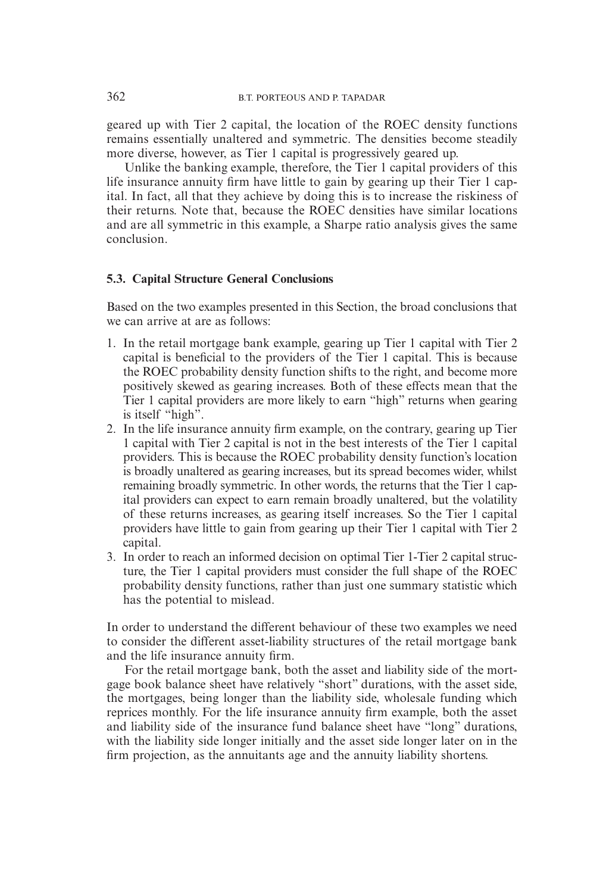geared up with Tier 2 capital, the location of the ROEC density functions remains essentially unaltered and symmetric. The densities become steadily more diverse, however, as Tier 1 capital is progressively geared up.

Unlike the banking example, therefore, the Tier 1 capital providers of this life insurance annuity firm have little to gain by gearing up their Tier 1 capital. In fact, all that they achieve by doing this is to increase the riskiness of their returns. Note that, because the ROEC densities have similar locations and are all symmetric in this example, a Sharpe ratio analysis gives the same conclusion.

#### **5.3. Capital Structure General Conclusions**

Based on the two examples presented in this Section, the broad conclusions that we can arrive at are as follows:

- 1. In the retail mortgage bank example, gearing up Tier 1 capital with Tier 2 capital is beneficial to the providers of the Tier 1 capital. This is because the ROEC probability density function shifts to the right, and become more positively skewed as gearing increases. Both of these effects mean that the Tier 1 capital providers are more likely to earn "high" returns when gearing is itself "high".
- 2. In the life insurance annuity firm example, on the contrary, gearing up Tier 1 capital with Tier 2 capital is not in the best interests of the Tier 1 capital providers. This is because the ROEC probability density function's location is broadly unaltered as gearing increases, but its spread becomes wider, whilst remaining broadly symmetric. In other words, the returns that the Tier 1 capital providers can expect to earn remain broadly unaltered, but the volatility of these returns increases, as gearing itself increases. So the Tier 1 capital providers have little to gain from gearing up their Tier 1 capital with Tier 2 capital.
- 3. In order to reach an informed decision on optimal Tier 1-Tier 2 capital structure, the Tier 1 capital providers must consider the full shape of the ROEC probability density functions, rather than just one summary statistic which has the potential to mislead.

In order to understand the different behaviour of these two examples we need to consider the different asset-liability structures of the retail mortgage bank and the life insurance annuity firm.

For the retail mortgage bank, both the asset and liability side of the mortgage book balance sheet have relatively "short" durations, with the asset side, the mortgages, being longer than the liability side, wholesale funding which reprices monthly. For the life insurance annuity firm example, both the asset and liability side of the insurance fund balance sheet have "long" durations, with the liability side longer initially and the asset side longer later on in the firm projection, as the annuitants age and the annuity liability shortens.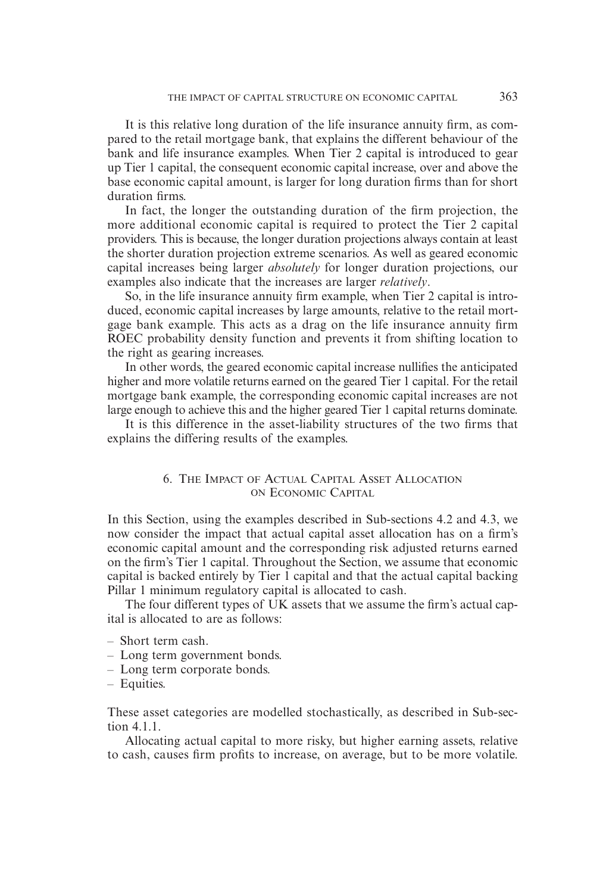It is this relative long duration of the life insurance annuity firm, as compared to the retail mortgage bank, that explains the different behaviour of the bank and life insurance examples. When Tier 2 capital is introduced to gear up Tier 1 capital, the consequent economic capital increase, over and above the base economic capital amount, is larger for long duration firms than for short duration firms.

In fact, the longer the outstanding duration of the firm projection, the more additional economic capital is required to protect the Tier 2 capital providers. This is because, the longer duration projections always contain at least the shorter duration projection extreme scenarios. As well as geared economic capital increases being larger *absolutely* for longer duration projections, our examples also indicate that the increases are larger *relatively*.

So, in the life insurance annuity firm example, when Tier 2 capital is introduced, economic capital increases by large amounts, relative to the retail mortgage bank example. This acts as a drag on the life insurance annuity firm ROEC probability density function and prevents it from shifting location to the right as gearing increases.

In other words, the geared economic capital increase nullifies the anticipated higher and more volatile returns earned on the geared Tier 1 capital. For the retail mortgage bank example, the corresponding economic capital increases are not large enough to achieve this and the higher geared Tier 1 capital returns dominate.

It is this difference in the asset-liability structures of the two firms that explains the differing results of the examples.

#### 6. THE IMPACT OF ACTUAL CAPITAL ASSET ALLOCATION ON ECONOMIC CAPITAL

In this Section, using the examples described in Sub-sections 4.2 and 4.3, we now consider the impact that actual capital asset allocation has on a firm's economic capital amount and the corresponding risk adjusted returns earned on the firm's Tier 1 capital. Throughout the Section, we assume that economic capital is backed entirely by Tier 1 capital and that the actual capital backing Pillar 1 minimum regulatory capital is allocated to cash.

The four different types of UK assets that we assume the firm's actual capital is allocated to are as follows:

- Short term cash.
- Long term government bonds.
- Long term corporate bonds.
- Equities.

These asset categories are modelled stochastically, as described in Sub-section 4.1.1.

Allocating actual capital to more risky, but higher earning assets, relative to cash, causes firm profits to increase, on average, but to be more volatile.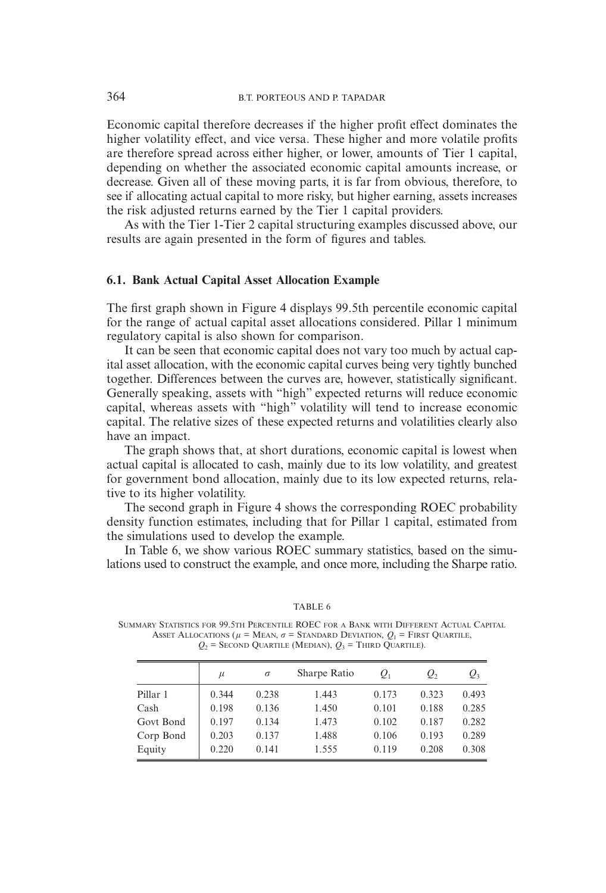Economic capital therefore decreases if the higher profit effect dominates the higher volatility effect, and vice versa. These higher and more volatile profits are therefore spread across either higher, or lower, amounts of Tier 1 capital, depending on whether the associated economic capital amounts increase, or decrease. Given all of these moving parts, it is far from obvious, therefore, to see if allocating actual capital to more risky, but higher earning, assets increases the risk adjusted returns earned by the Tier 1 capital providers.

As with the Tier 1-Tier 2 capital structuring examples discussed above, our results are again presented in the form of figures and tables.

#### **6.1. Bank Actual Capital Asset Allocation Example**

The first graph shown in Figure 4 displays 99.5th percentile economic capital for the range of actual capital asset allocations considered. Pillar 1 minimum regulatory capital is also shown for comparison.

It can be seen that economic capital does not vary too much by actual capital asset allocation, with the economic capital curves being very tightly bunched together. Differences between the curves are, however, statistically significant. Generally speaking, assets with "high" expected returns will reduce economic capital, whereas assets with "high" volatility will tend to increase economic capital. The relative sizes of these expected returns and volatilities clearly also have an impact.

The graph shows that, at short durations, economic capital is lowest when actual capital is allocated to cash, mainly due to its low volatility, and greatest for government bond allocation, mainly due to its low expected returns, relative to its higher volatility.

The second graph in Figure 4 shows the corresponding ROEC probability density function estimates, including that for Pillar 1 capital, estimated from the simulations used to develop the example.

lations used to construct the example, and once more, including the Sharpe ratio.

|           | $\mu$ | $\sigma$ | Sharpe Ratio | $Q_1$ | $Q_{2}$ | $Q_3$ |
|-----------|-------|----------|--------------|-------|---------|-------|
| Pillar 1  | 0.344 | 0.238    | 1.443        | 0.173 | 0.323   | 0.493 |
| Cash      | 0.198 | 0.136    | 1.450        | 0.101 | 0.188   | 0.285 |
| Govt Bond | 0.197 | 0.134    | 1.473        | 0.102 | 0.187   | 0.282 |
| Corp Bond | 0.203 | 0.137    | 1.488        | 0.106 | 0.193   | 0.289 |
| Equity    | 0.220 | 0.141    | 1.555        | 0.119 | 0.208   | 0.308 |

TABLE 6 SUMMARY STATISTICS FOR 99.5TH PERCENTILE ROEC FOR A BANK WITH DIFFERENT ACTUAL CAPITAL

ASSET ALLOCATIONS ( $\mu$  = MEAN,  $\sigma$  = STANDARD DEVIATION,  $O_1$  = FIRST QUARTILE,  $Q_2$  = Second Quartile (Median),  $Q_3$  = Third Quartile).

In Table 6, we show various ROEC summary statistics, based on the simu-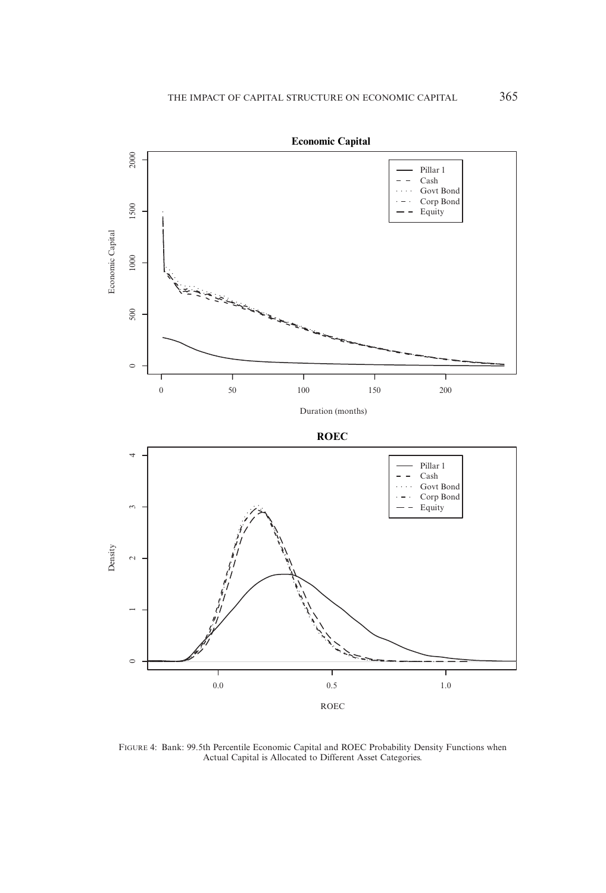

FIGURE 4: Bank: 99.5th Percentile Economic Capital and ROEC Probability Density Functions when Actual Capital is Allocated to Different Asset Categories.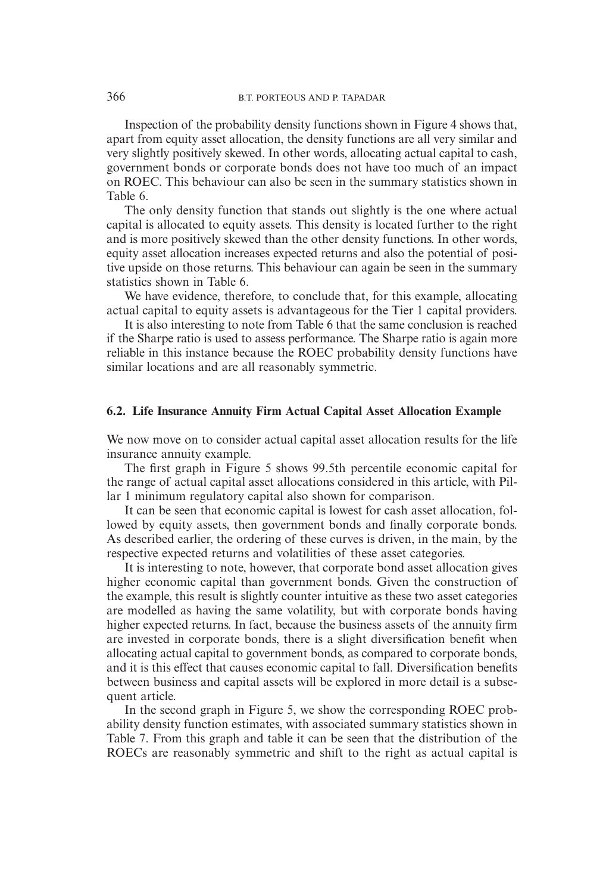Inspection of the probability density functions shown in Figure 4 shows that, apart from equity asset allocation, the density functions are all very similar and very slightly positively skewed. In other words, allocating actual capital to cash, government bonds or corporate bonds does not have too much of an impact on ROEC. This behaviour can also be seen in the summary statistics shown in Table 6.

The only density function that stands out slightly is the one where actual capital is allocated to equity assets. This density is located further to the right and is more positively skewed than the other density functions. In other words, equity asset allocation increases expected returns and also the potential of positive upside on those returns. This behaviour can again be seen in the summary statistics shown in Table 6.

We have evidence, therefore, to conclude that, for this example, allocating actual capital to equity assets is advantageous for the Tier 1 capital providers.

It is also interesting to note from Table 6 that the same conclusion is reached if the Sharpe ratio is used to assess performance. The Sharpe ratio is again more reliable in this instance because the ROEC probability density functions have similar locations and are all reasonably symmetric.

#### **6.2. Life Insurance Annuity Firm Actual Capital Asset Allocation Example**

We now move on to consider actual capital asset allocation results for the life insurance annuity example.

The first graph in Figure 5 shows 99.5th percentile economic capital for the range of actual capital asset allocations considered in this article, with Pillar 1 minimum regulatory capital also shown for comparison.

It can be seen that economic capital is lowest for cash asset allocation, followed by equity assets, then government bonds and finally corporate bonds. As described earlier, the ordering of these curves is driven, in the main, by the respective expected returns and volatilities of these asset categories.

It is interesting to note, however, that corporate bond asset allocation gives higher economic capital than government bonds. Given the construction of the example, this result is slightly counter intuitive as these two asset categories are modelled as having the same volatility, but with corporate bonds having higher expected returns. In fact, because the business assets of the annuity firm are invested in corporate bonds, there is a slight diversification benefit when allocating actual capital to government bonds, as compared to corporate bonds, and it is this effect that causes economic capital to fall. Diversification benefits between business and capital assets will be explored in more detail is a subsequent article.

In the second graph in Figure 5, we show the corresponding ROEC probability density function estimates, with associated summary statistics shown in Table 7. From this graph and table it can be seen that the distribution of the ROECs are reasonably symmetric and shift to the right as actual capital is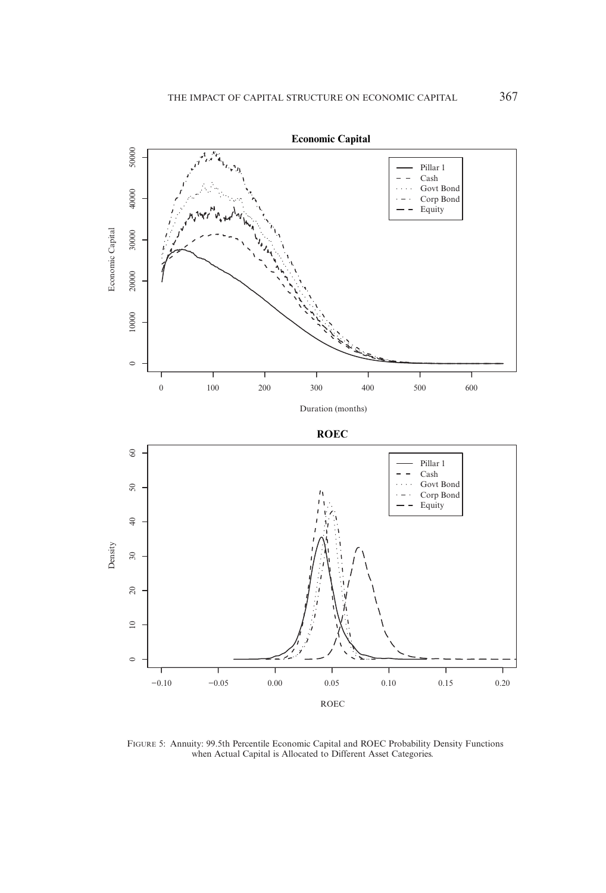

FIGURE 5: Annuity: 99.5th Percentile Economic Capital and ROEC Probability Density Functions when Actual Capital is Allocated to Different Asset Categories.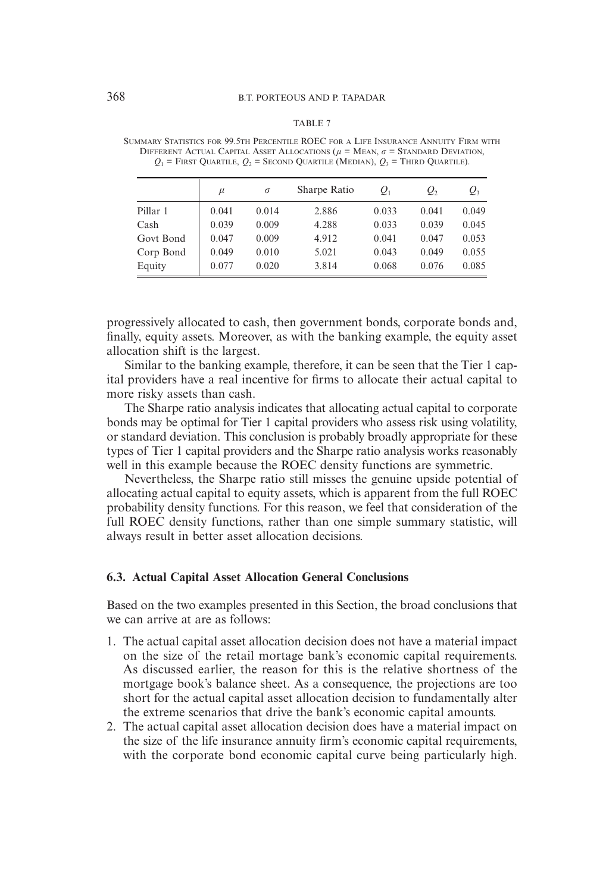#### TABLE 7

|          |       |       | $Q_1$ = FIRST QUARTILE, $Q_2$ = SECOND QUARTILE (MEDIAN), $Q_3$ = THIRD QUARTILE). |       |       |                 |
|----------|-------|-------|------------------------------------------------------------------------------------|-------|-------|-----------------|
|          | $\mu$ |       | Sharpe Ratio                                                                       |       |       | $\mathcal{O}_3$ |
| Pillar 1 | 0.041 | 0.014 | 2.886                                                                              | 0.033 | 0.041 | 0.049           |
| Cash     | 0.039 | 0.009 | 4.288                                                                              | 0.033 | 0.039 | 0.045           |

Govt Bond  $\begin{array}{cccc} 0.047 & 0.009 & 4.912 & 0.041 & 0.047 & 0.053 \end{array}$ Corp Bond 0.049 0.010 5.021 0.043 0.049 0.055 Equity 0.077 0.020 3.814 0.068 0.076 0.085

SUMMARY STATISTICS FOR 99.5TH PERCENTILE ROEC FOR A LIFE INSURANCE ANNUITY FIRM WITH DIFFERENT ACTUAL CAPITAL ASSET ALLOCATIONS ( $\mu$  = MEAN,  $\sigma$  = STANDARD DEVIATION,  $Q_1$  = First Quartile,  $Q_2$  = Second Quartile (Median),  $Q_3$  = Third Quartile).

progressively allocated to cash, then government bonds, corporate bonds and, finally, equity assets. Moreover, as with the banking example, the equity asset allocation shift is the largest.

Similar to the banking example, therefore, it can be seen that the Tier 1 capital providers have a real incentive for firms to allocate their actual capital to more risky assets than cash.

The Sharpe ratio analysis indicates that allocating actual capital to corporate bonds may be optimal for Tier 1 capital providers who assess risk using volatility, or standard deviation. This conclusion is probably broadly appropriate for these types of Tier 1 capital providers and the Sharpe ratio analysis works reasonably well in this example because the ROEC density functions are symmetric.

Nevertheless, the Sharpe ratio still misses the genuine upside potential of allocating actual capital to equity assets, which is apparent from the full ROEC probability density functions. For this reason, we feel that consideration of the full ROEC density functions, rather than one simple summary statistic, will always result in better asset allocation decisions.

#### **6.3. Actual Capital Asset Allocation General Conclusions**

Based on the two examples presented in this Section, the broad conclusions that we can arrive at are as follows:

- 1. The actual capital asset allocation decision does not have a material impact on the size of the retail mortage bank's economic capital requirements. As discussed earlier, the reason for this is the relative shortness of the mortgage book's balance sheet. As a consequence, the projections are too short for the actual capital asset allocation decision to fundamentally alter the extreme scenarios that drive the bank's economic capital amounts.
- 2. The actual capital asset allocation decision does have a material impact on the size of the life insurance annuity firm's economic capital requirements, with the corporate bond economic capital curve being particularly high.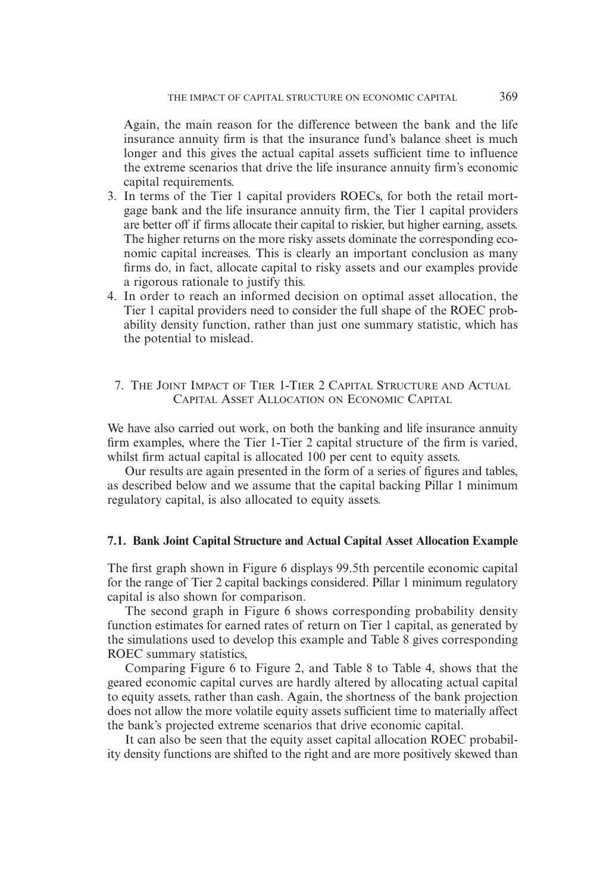Again, the main reason for the difference between the bank and the life insurance annuity firm is that the insurance fund's balance sheet is much longer and this gives the actual capital assets sufficient time to influence the extreme scenarios that drive the life insurance annuity firm's economic capital requirements.

- 3. In terms of the Tier 1 capital providers ROECs, for both the retail mortgage bank and the life insurance annuity firm, the Tier 1 capital providers are better off if firms allocate their capital to riskier, but higher earning, assets. The higher returns on the more risky assets dominate the corresponding economic capital increases. This is clearly an important conclusion as many firms do, in fact, allocate capital to risky assets and our examples provide a rigorous rationale to justify this.
- 4. In order to reach an informed decision on optimal asset allocation, the Tier 1 capital providers need to consider the full shape of the ROEC probability density function, rather than just one summary statistic, which has the potential to mislead.
	- 7. THE JOINT IMPACT OF TIER 1-TIER 2 CAPITAL STRUCTURE AND ACTUAL CAPITAL ASSET ALLOCATION ON ECONOMIC CAPITAL

We have also carried out work, on both the banking and life insurance annuity firm examples, where the Tier 1-Tier 2 capital structure of the firm is varied, whilst firm actual capital is allocated 100 per cent to equity assets.

Our results are again presented in the form of a series of figures and tables, as described below and we assume that the capital backing Pillar 1 minimum regulatory capital, is also allocated to equity assets.

#### **7.1. Bank Joint Capital Structure and Actual Capital Asset Allocation Example**

The first graph shown in Figure 6 displays 99.5th percentile economic capital for the range of Tier 2 capital backings considered. Pillar 1 minimum regulatory capital is also shown for comparison.

The second graph in Figure 6 shows corresponding probability density function estimates for earned rates of return on Tier 1 capital, as generated by the simulations used to develop this example and Table 8 gives corresponding ROEC summary statistics,

Comparing Figure 6 to Figure 2, and Table 8 to Table 4, shows that the geared economic capital curves are hardly altered by allocating actual capital to equity assets, rather than cash. Again, the shortness of the bank projection does not allow the more volatile equity assets sufficient time to materially affect the bank's projected extreme scenarios that drive economic capital.

It can also be seen that the equity asset capital allocation ROEC probability density functions are shifted to the right and are more positively skewed than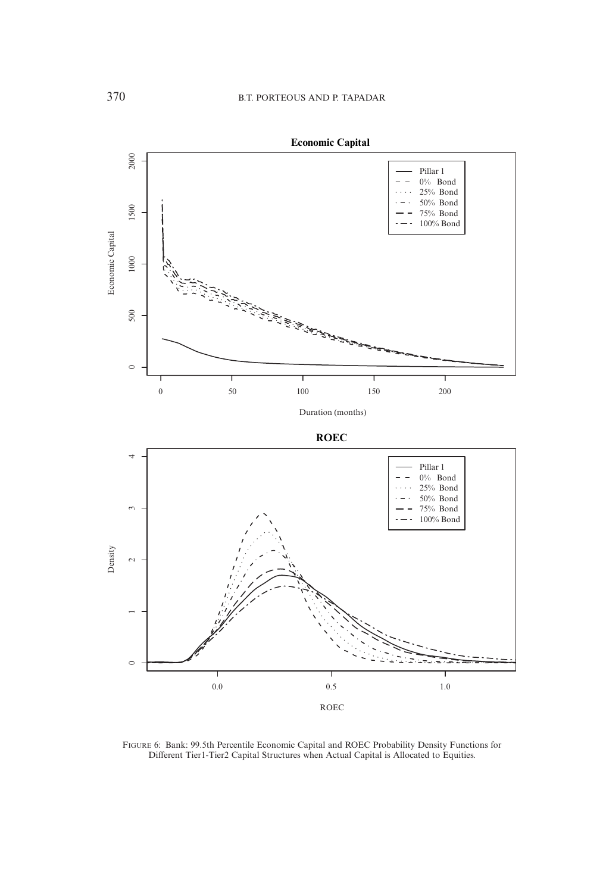

FIGURE 6: Bank: 99.5th Percentile Economic Capital and ROEC Probability Density Functions for Different Tier1-Tier2 Capital Structures when Actual Capital is Allocated to Equities.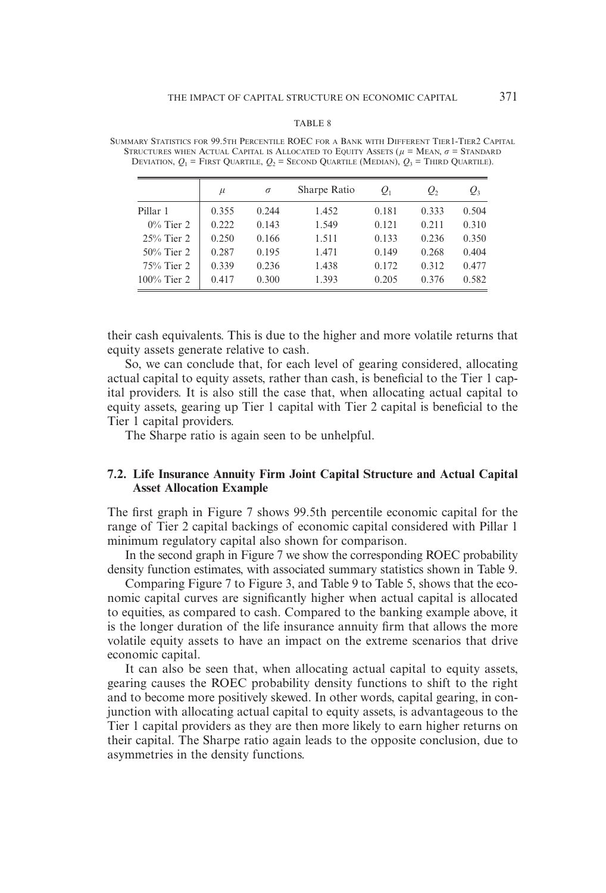#### TABLE 8

|                | $\mu$ | $\sigma$ | Sharpe Ratio | $Q_1$ | $\mathcal{Q}_2$ | $\mathcal{Q}_3$ |
|----------------|-------|----------|--------------|-------|-----------------|-----------------|
| Pillar 1       | 0.355 | 0.244    | 1.452        | 0.181 | 0.333           | 0.504           |
| $0\%$ Tier 2   | 0.222 | 0.143    | 1.549        | 0.121 | 0.211           | 0.310           |
| $25%$ Tier 2   | 0.250 | 0.166    | 1.511        | 0.133 | 0.236           | 0.350           |
| $50\%$ Tier 2  | 0.287 | 0.195    | 1.471        | 0.149 | 0.268           | 0.404           |
| 75% Tier 2     | 0.339 | 0.236    | 1.438        | 0.172 | 0.312           | 0.477           |
| $100\%$ Tier 2 | 0.417 | 0.300    | 1.393        | 0.205 | 0.376           | 0.582           |

SUMMARY STATISTICS FOR 99.5TH PERCENTILE ROEC FOR A BANK WITH DIFFERENT TIER1-TIER2 CAPITAL STRUCTURES WHEN ACTUAL CAPITAL IS ALLOCATED TO EQUITY ASSETS ( $\mu$  = MEAN,  $\sigma$  = STANDARD DEVIATION,  $Q_1$  = FIRST QUARTILE,  $Q_2$  = SECOND QUARTILE (MEDIAN),  $Q_3$  = THIRD QUARTILE).

their cash equivalents. This is due to the higher and more volatile returns that equity assets generate relative to cash.

So, we can conclude that, for each level of gearing considered, allocating actual capital to equity assets, rather than cash, is beneficial to the Tier 1 capital providers. It is also still the case that, when allocating actual capital to equity assets, gearing up Tier 1 capital with Tier 2 capital is beneficial to the Tier 1 capital providers.

The Sharpe ratio is again seen to be unhelpful.

#### **7.2. Life Insurance Annuity Firm Joint Capital Structure and Actual Capital Asset Allocation Example**

The first graph in Figure 7 shows 99.5th percentile economic capital for the range of Tier 2 capital backings of economic capital considered with Pillar 1 minimum regulatory capital also shown for comparison.

In the second graph in Figure 7 we show the corresponding ROEC probability density function estimates, with associated summary statistics shown in Table 9.

Comparing Figure 7 to Figure 3, and Table 9 to Table 5, shows that the economic capital curves are significantly higher when actual capital is allocated to equities, as compared to cash. Compared to the banking example above, it is the longer duration of the life insurance annuity firm that allows the more volatile equity assets to have an impact on the extreme scenarios that drive economic capital.

It can also be seen that, when allocating actual capital to equity assets, gearing causes the ROEC probability density functions to shift to the right and to become more positively skewed. In other words, capital gearing, in conjunction with allocating actual capital to equity assets, is advantageous to the Tier 1 capital providers as they are then more likely to earn higher returns on their capital. The Sharpe ratio again leads to the opposite conclusion, due to asymmetries in the density functions.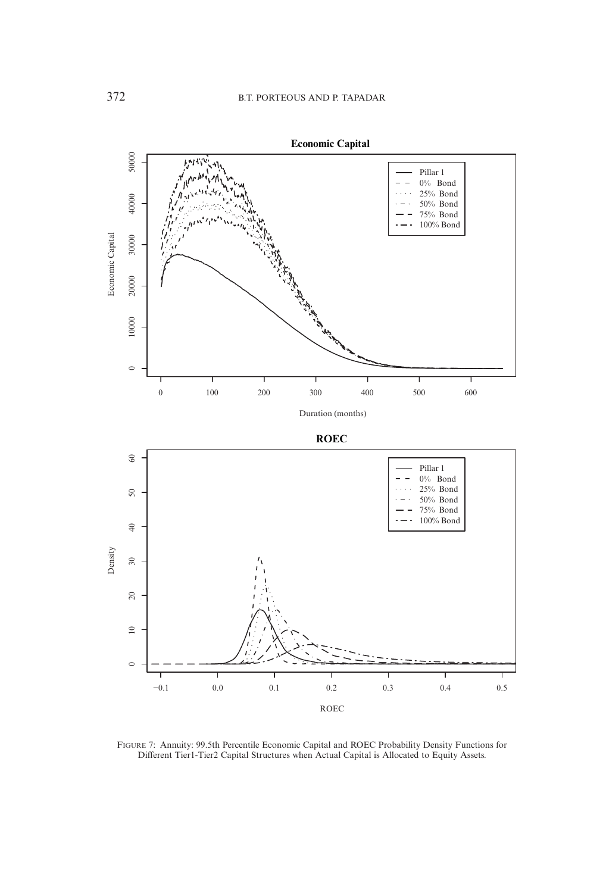

FIGURE 7: Annuity: 99.5th Percentile Economic Capital and ROEC Probability Density Functions for Different Tier1-Tier2 Capital Structures when Actual Capital is Allocated to Equity Assets.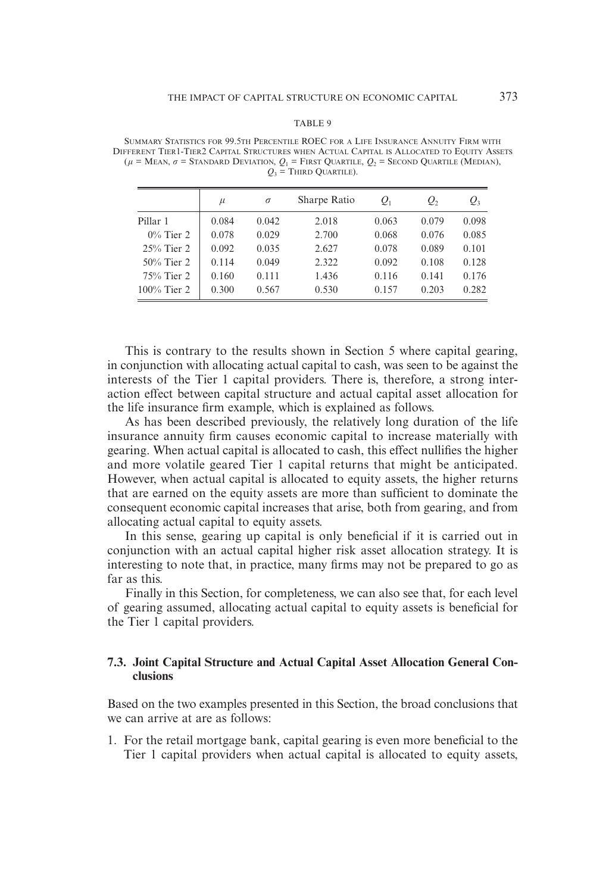#### TABLE 9

| SUMMARY STATISTICS FOR 99.5TH PERCENTILE ROEC FOR A LIFE INSURANCE ANNUITY FIRM WITH                                                         |
|----------------------------------------------------------------------------------------------------------------------------------------------|
| DIFFERENT TIER1-TIER2 CAPITAL STRUCTURES WHEN ACTUAL CAPITAL IS ALLOCATED TO EQUITY ASSETS                                                   |
| $(\mu = \text{Mean}, \sigma = \text{Standard} \text{ Deviation}, O_1 = \text{First Quartile}, O_2 = \text{Second Quartile} (\text{MEDIAN}),$ |
| $Q_3$ = Third Quartile).                                                                                                                     |

|               | $\mu$ | $\sigma$ | Sharpe Ratio | $Q_1$ | $Q_{2}$ | $Q_3$ |
|---------------|-------|----------|--------------|-------|---------|-------|
| Pillar 1      | 0.084 | 0.042    | 2.018        | 0.063 | 0.079   | 0.098 |
| $0\%$ Tier 2  | 0.078 | 0.029    | 2.700        | 0.068 | 0.076   | 0.085 |
| 25% Tier 2    | 0.092 | 0.035    | 2.627        | 0.078 | 0.089   | 0.101 |
| $50\%$ Tier 2 | 0.114 | 0.049    | 2.322        | 0.092 | 0.108   | 0.128 |
| $75%$ Tier 2  | 0.160 | 0.111    | 1.436        | 0.116 | 0.141   | 0.176 |
| 100% Tier 2   | 0.300 | 0.567    | 0.530        | 0.157 | 0.203   | 0.282 |

This is contrary to the results shown in Section 5 where capital gearing, in conjunction with allocating actual capital to cash, was seen to be against the interests of the Tier 1 capital providers. There is, therefore, a strong interaction effect between capital structure and actual capital asset allocation for the life insurance firm example, which is explained as follows.

As has been described previously, the relatively long duration of the life insurance annuity firm causes economic capital to increase materially with gearing. When actual capital is allocated to cash, this effect nullifies the higher and more volatile geared Tier 1 capital returns that might be anticipated. However, when actual capital is allocated to equity assets, the higher returns that are earned on the equity assets are more than sufficient to dominate the consequent economic capital increases that arise, both from gearing, and from allocating actual capital to equity assets.

In this sense, gearing up capital is only beneficial if it is carried out in conjunction with an actual capital higher risk asset allocation strategy. It is interesting to note that, in practice, many firms may not be prepared to go as far as this.

Finally in this Section, for completeness, we can also see that, for each level of gearing assumed, allocating actual capital to equity assets is beneficial for the Tier 1 capital providers.

#### **7.3. Joint Capital Structure and Actual Capital Asset Allocation General Conclusions**

Based on the two examples presented in this Section, the broad conclusions that we can arrive at are as follows:

1. For the retail mortgage bank, capital gearing is even more beneficial to the Tier 1 capital providers when actual capital is allocated to equity assets,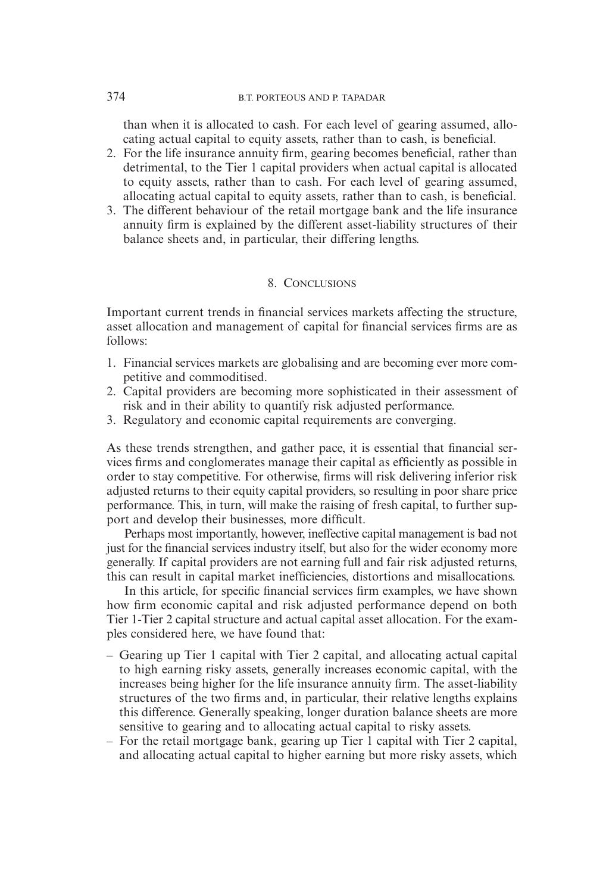than when it is allocated to cash. For each level of gearing assumed, allocating actual capital to equity assets, rather than to cash, is beneficial.

- 2. For the life insurance annuity firm, gearing becomes beneficial, rather than detrimental, to the Tier 1 capital providers when actual capital is allocated to equity assets, rather than to cash. For each level of gearing assumed, allocating actual capital to equity assets, rather than to cash, is beneficial.
- 3. The different behaviour of the retail mortgage bank and the life insurance annuity firm is explained by the different asset-liability structures of their balance sheets and, in particular, their differing lengths.

#### 8. CONCLUSIONS

Important current trends in financial services markets affecting the structure, asset allocation and management of capital for financial services firms are as follows:

- 1. Financial services markets are globalising and are becoming ever more competitive and commoditised.
- 2. Capital providers are becoming more sophisticated in their assessment of risk and in their ability to quantify risk adjusted performance.
- 3. Regulatory and economic capital requirements are converging.

As these trends strengthen, and gather pace, it is essential that financial services firms and conglomerates manage their capital as efficiently as possible in order to stay competitive. For otherwise, firms will risk delivering inferior risk adjusted returns to their equity capital providers, so resulting in poor share price performance. This, in turn, will make the raising of fresh capital, to further support and develop their businesses, more difficult.

Perhaps most importantly, however, ineffective capital management is bad not just for the financial services industry itself, but also for the wider economy more generally. If capital providers are not earning full and fair risk adjusted returns, this can result in capital market inefficiencies, distortions and misallocations.

In this article, for specific financial services firm examples, we have shown how firm economic capital and risk adjusted performance depend on both Tier 1-Tier 2 capital structure and actual capital asset allocation. For the examples considered here, we have found that:

- Gearing up Tier 1 capital with Tier 2 capital, and allocating actual capital to high earning risky assets, generally increases economic capital, with the increases being higher for the life insurance annuity firm. The asset-liability structures of the two firms and, in particular, their relative lengths explains this difference. Generally speaking, longer duration balance sheets are more sensitive to gearing and to allocating actual capital to risky assets.
- For the retail mortgage bank, gearing up Tier 1 capital with Tier 2 capital, and allocating actual capital to higher earning but more risky assets, which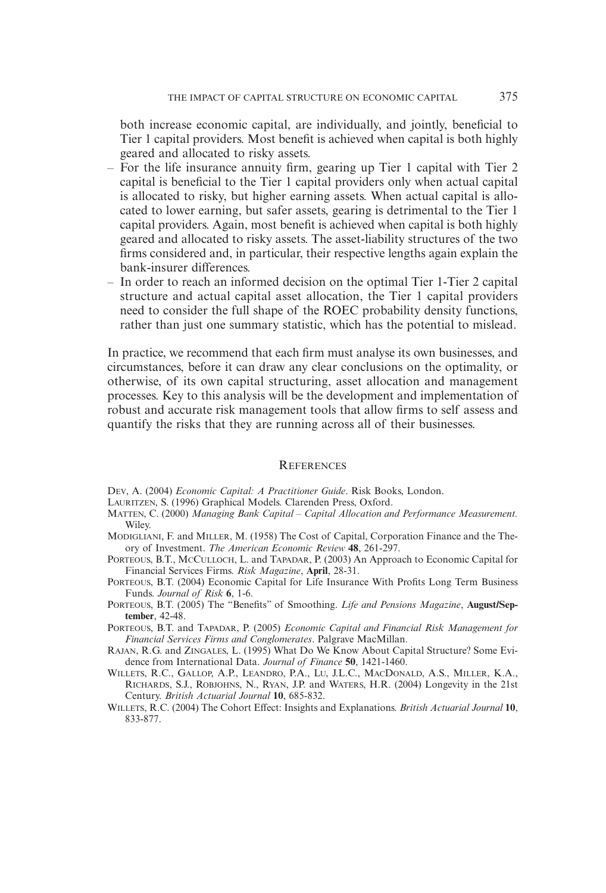both increase economic capital, are individually, and jointly, beneficial to Tier 1 capital providers. Most benefit is achieved when capital is both highly geared and allocated to risky assets.

- For the life insurance annuity firm, gearing up Tier 1 capital with Tier 2 capital is beneficial to the Tier 1 capital providers only when actual capital is allocated to risky, but higher earning assets. When actual capital is allocated to lower earning, but safer assets, gearing is detrimental to the Tier 1 capital providers. Again, most benefit is achieved when capital is both highly geared and allocated to risky assets. The asset-liability structures of the two firms considered and, in particular, their respective lengths again explain the bank-insurer differences.
- In order to reach an informed decision on the optimal Tier 1-Tier 2 capital structure and actual capital asset allocation, the Tier 1 capital providers need to consider the full shape of the ROEC probability density functions, rather than just one summary statistic, which has the potential to mislead.

In practice, we recommend that each firm must analyse its own businesses, and circumstances, before it can draw any clear conclusions on the optimality, or otherwise, of its own capital structuring, asset allocation and management processes. Key to this analysis will be the development and implementation of robust and accurate risk management tools that allow firms to self assess and quantify the risks that they are running across all of their businesses.

#### **REFERENCES**

DEV, A. (2004) *Economic Capital: A Practitioner Guide*. Risk Books, London.

- LAURITZEN, S. (1996) Graphical Models. Clarenden Press, Oxford.
- MATTEN, C. (2000) *Managing Bank Capital Capital Allocation and Performance Measurement.* Wiley.
- MODIGLIANI, F. and MILLER, M. (1958) The Cost of Capital, Corporation Finance and the Theory of Investment. *The American Economic Review* **48**, 261-297.
- PORTEOUS, B.T., MCCULLOCH, L. and TAPADAR, P. (2003) An Approach to Economic Capital for Financial Services Firms. *Risk Magazine*, **April**, 28-31.
- PORTEOUS, B.T. (2004) Economic Capital for Life Insurance With Profits Long Term Business Funds. *Journal of Risk* **6**, 1-6.
- PORTEOUS, B.T. (2005) The "Benefits" of Smoothing. *Life and Pensions Magazine*, **August/September**, 42-48.
- PORTEOUS, B.T. and TAPADAR, P. (2005) *Economic Capital and Financial Risk Management for Financial Services Firms and Conglomerates*. Palgrave MacMillan.
- RAJAN, R.G. and ZINGALES, L. (1995) What Do We Know About Capital Structure? Some Evidence from International Data. *Journal of Finance* **50**, 1421-1460.
- WILLETS, R.C., GALLOP, A.P., LEANDRO, P.A., LU, J.L.C., MACDONALD, A.S., MILLER, K.A., RICHARDS, S.J., ROBJOHNS, N., RYAN, J.P. and WATERS, H.R. (2004) Longevity in the 21st Century. *British Actuarial Journal* **10**, 685-832.
- WILLETS, R.C. (2004) The Cohort Effect: Insights and Explanations. *British Actuarial Journal* **10**, 833-877.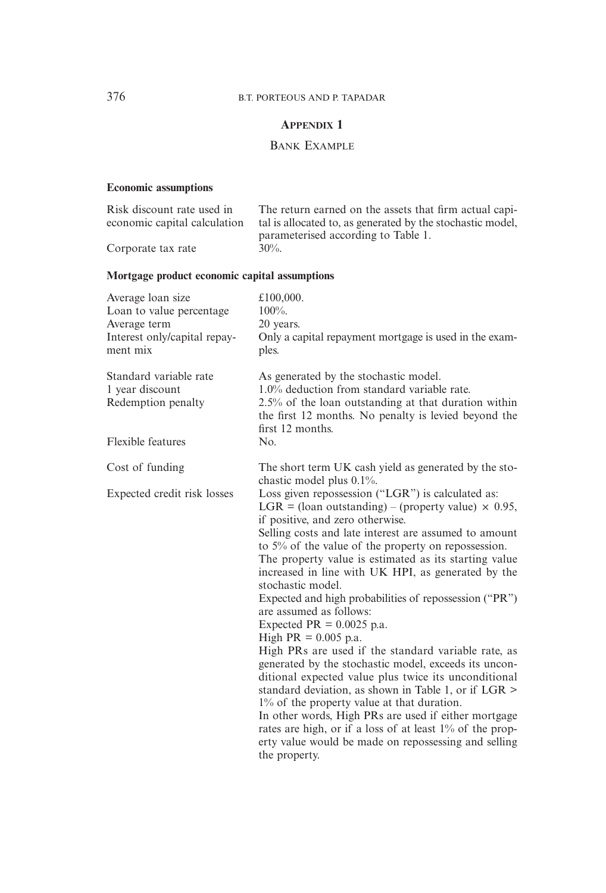## **APPENDIX 1**

# BANK EXAMPLE

# **Economic assumptions**

| Risk discount rate used in<br>economic capital calculation<br>Corporate tax rate                          | The return earned on the assets that firm actual capi-<br>tal is allocated to, as generated by the stochastic model,<br>parameterised according to Table 1.<br>$30%$ .                                                                                                                                                                                                                                                                                                                                                                                                                                                                                                                                                                                                                                                                                                                                                                                                                                                              |
|-----------------------------------------------------------------------------------------------------------|-------------------------------------------------------------------------------------------------------------------------------------------------------------------------------------------------------------------------------------------------------------------------------------------------------------------------------------------------------------------------------------------------------------------------------------------------------------------------------------------------------------------------------------------------------------------------------------------------------------------------------------------------------------------------------------------------------------------------------------------------------------------------------------------------------------------------------------------------------------------------------------------------------------------------------------------------------------------------------------------------------------------------------------|
| Mortgage product economic capital assumptions                                                             |                                                                                                                                                                                                                                                                                                                                                                                                                                                                                                                                                                                                                                                                                                                                                                                                                                                                                                                                                                                                                                     |
| Average loan size<br>Loan to value percentage<br>Average term<br>Interest only/capital repay-<br>ment mix | £100,000.<br>100%.<br>20 years.<br>Only a capital repayment mortgage is used in the exam-<br>ples.                                                                                                                                                                                                                                                                                                                                                                                                                                                                                                                                                                                                                                                                                                                                                                                                                                                                                                                                  |
| Standard variable rate<br>1 year discount<br>Redemption penalty                                           | As generated by the stochastic model.<br>1.0% deduction from standard variable rate.<br>2.5% of the loan outstanding at that duration within<br>the first 12 months. No penalty is levied beyond the<br>first 12 months.                                                                                                                                                                                                                                                                                                                                                                                                                                                                                                                                                                                                                                                                                                                                                                                                            |
| Flexible features                                                                                         | No.                                                                                                                                                                                                                                                                                                                                                                                                                                                                                                                                                                                                                                                                                                                                                                                                                                                                                                                                                                                                                                 |
| Cost of funding                                                                                           | The short term UK cash yield as generated by the sto-<br>chastic model plus 0.1%.                                                                                                                                                                                                                                                                                                                                                                                                                                                                                                                                                                                                                                                                                                                                                                                                                                                                                                                                                   |
| Expected credit risk losses                                                                               | Loss given repossession ("LGR") is calculated as:<br>LGR = (loan outstanding) – (property value) $\times$ 0.95,<br>if positive, and zero otherwise.<br>Selling costs and late interest are assumed to amount<br>to $5\%$ of the value of the property on repossession.<br>The property value is estimated as its starting value<br>increased in line with UK HPI, as generated by the<br>stochastic model.<br>Expected and high probabilities of repossession ("PR")<br>are assumed as follows:<br>Expected PR = $0.0025$ p.a.<br>High $PR = 0.005$ p.a.<br>High PRs are used if the standard variable rate, as<br>generated by the stochastic model, exceeds its uncon-<br>ditional expected value plus twice its unconditional<br>standard deviation, as shown in Table 1, or if LGR ><br>1% of the property value at that duration.<br>In other words, High PRs are used if either mortgage<br>rates are high, or if a loss of at least 1% of the prop-<br>erty value would be made on repossessing and selling<br>the property. |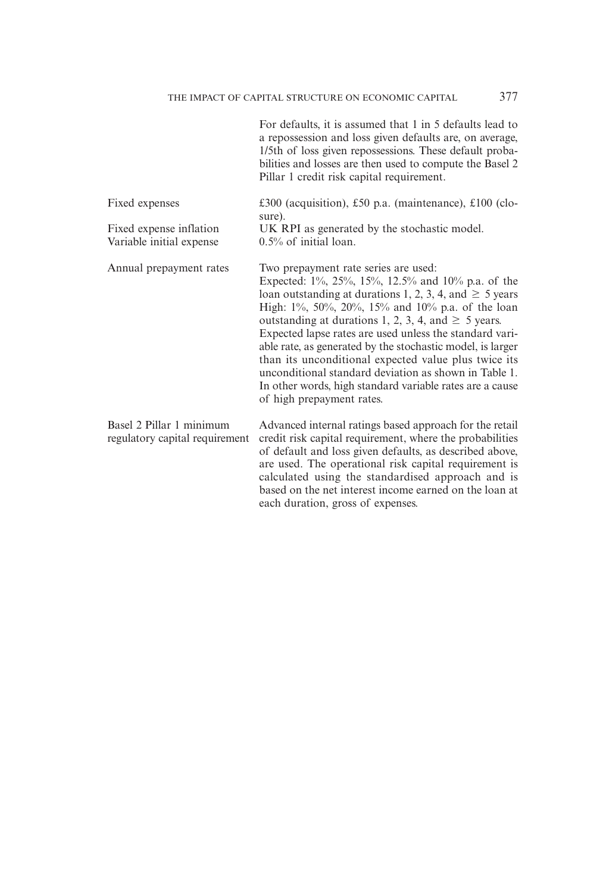|                                                            | For defaults, it is assumed that 1 in 5 defaults lead to<br>a repossession and loss given defaults are, on average,<br>1/5th of loss given repossessions. These default proba-<br>bilities and losses are then used to compute the Basel 2<br>Pillar 1 credit risk capital requirement.                                                                                                                                                                                                                                                                                                                                        |
|------------------------------------------------------------|--------------------------------------------------------------------------------------------------------------------------------------------------------------------------------------------------------------------------------------------------------------------------------------------------------------------------------------------------------------------------------------------------------------------------------------------------------------------------------------------------------------------------------------------------------------------------------------------------------------------------------|
| Fixed expenses                                             | £300 (acquisition), £50 p.a. (maintenance), £100 (clo-                                                                                                                                                                                                                                                                                                                                                                                                                                                                                                                                                                         |
| Fixed expense inflation<br>Variable initial expense        | sure).<br>UK RPI as generated by the stochastic model.<br>$0.5\%$ of initial loan.                                                                                                                                                                                                                                                                                                                                                                                                                                                                                                                                             |
| Annual prepayment rates                                    | Two prepayment rate series are used:<br>Expected: 1%, 25%, 15%, 12.5% and 10% p.a. of the<br>loan outstanding at durations 1, 2, 3, 4, and $\geq$ 5 years<br>High: $1\%$ , $50\%$ , $20\%$ , $15\%$ and $10\%$ p.a. of the loan<br>outstanding at durations 1, 2, 3, 4, and $\geq$ 5 years.<br>Expected lapse rates are used unless the standard vari-<br>able rate, as generated by the stochastic model, is larger<br>than its unconditional expected value plus twice its<br>unconditional standard deviation as shown in Table 1.<br>In other words, high standard variable rates are a cause<br>of high prepayment rates. |
| Basel 2 Pillar 1 minimum<br>regulatory capital requirement | Advanced internal ratings based approach for the retail<br>credit risk capital requirement, where the probabilities<br>of default and loss given defaults, as described above,<br>are used. The operational risk capital requirement is<br>calculated using the standardised approach and is<br>based on the net interest income earned on the loan at<br>each duration, gross of expenses.                                                                                                                                                                                                                                    |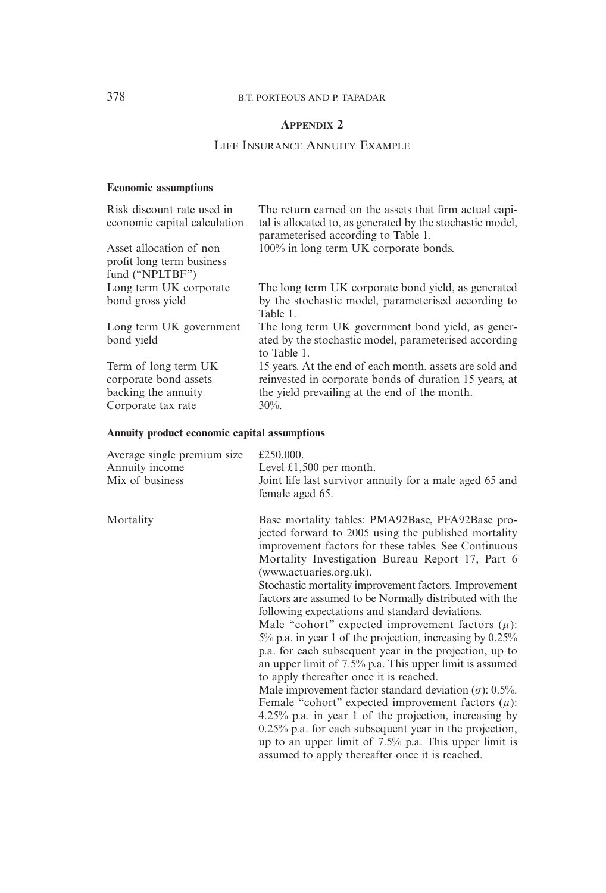## **APPENDIX 2**

# LIFE INSURANCE ANNUITY EXAMPLE

# **Economic assumptions**

| Risk discount rate used in<br>economic capital calculation                                 | The return earned on the assets that firm actual capi-<br>tal is allocated to, as generated by the stochastic model,<br>parameterised according to Table 1.                    |
|--------------------------------------------------------------------------------------------|--------------------------------------------------------------------------------------------------------------------------------------------------------------------------------|
| Asset allocation of non<br>profit long term business<br>fund ("NPLTBF")                    | 100% in long term UK corporate bonds.                                                                                                                                          |
| Long term UK corporate<br>bond gross yield                                                 | The long term UK corporate bond yield, as generated<br>by the stochastic model, parameterised according to<br>Table 1.                                                         |
| Long term UK government<br>bond vield                                                      | The long term UK government bond yield, as gener-<br>ated by the stochastic model, parameterised according<br>to Table 1.                                                      |
| Term of long term UK<br>corporate bond assets<br>backing the annuity<br>Corporate tax rate | 15 years. At the end of each month, assets are sold and<br>reinvested in corporate bonds of duration 15 years, at<br>the yield prevailing at the end of the month.<br>$30\%$ . |

# **Annuity product economic capital assumptions**

| Average single premium size<br>Annuity income<br>Mix of business | £250,000.<br>Level $£1,500$ per month.<br>Joint life last survivor annuity for a male aged 65 and<br>female aged 65.                                                                                                                                                                                                                                                                                                                                                                                                                                                                                                                                                                                                                                                                                                                                                                                                                                                                                                                                                              |
|------------------------------------------------------------------|-----------------------------------------------------------------------------------------------------------------------------------------------------------------------------------------------------------------------------------------------------------------------------------------------------------------------------------------------------------------------------------------------------------------------------------------------------------------------------------------------------------------------------------------------------------------------------------------------------------------------------------------------------------------------------------------------------------------------------------------------------------------------------------------------------------------------------------------------------------------------------------------------------------------------------------------------------------------------------------------------------------------------------------------------------------------------------------|
| Mortality                                                        | Base mortality tables: PMA92Base, PFA92Base pro-<br>jected forward to 2005 using the published mortality<br>improvement factors for these tables. See Continuous<br>Mortality Investigation Bureau Report 17, Part 6<br>(www.actuaries.org.uk).<br>Stochastic mortality improvement factors. Improvement<br>factors are assumed to be Normally distributed with the<br>following expectations and standard deviations.<br>Male "cohort" expected improvement factors $(\mu)$ :<br>5% p.a. in year 1 of the projection, increasing by 0.25%<br>p.a. for each subsequent year in the projection, up to<br>an upper limit of $7.5\%$ p.a. This upper limit is assumed<br>to apply thereafter once it is reached.<br>Male improvement factor standard deviation ( $\sigma$ ): 0.5%.<br>Female "cohort" expected improvement factors $(\mu)$ :<br>$4.25\%$ p.a. in year 1 of the projection, increasing by<br>$0.25\%$ p.a. for each subsequent year in the projection,<br>up to an upper limit of $7.5\%$ p.a. This upper limit is<br>assumed to apply thereafter once it is reached. |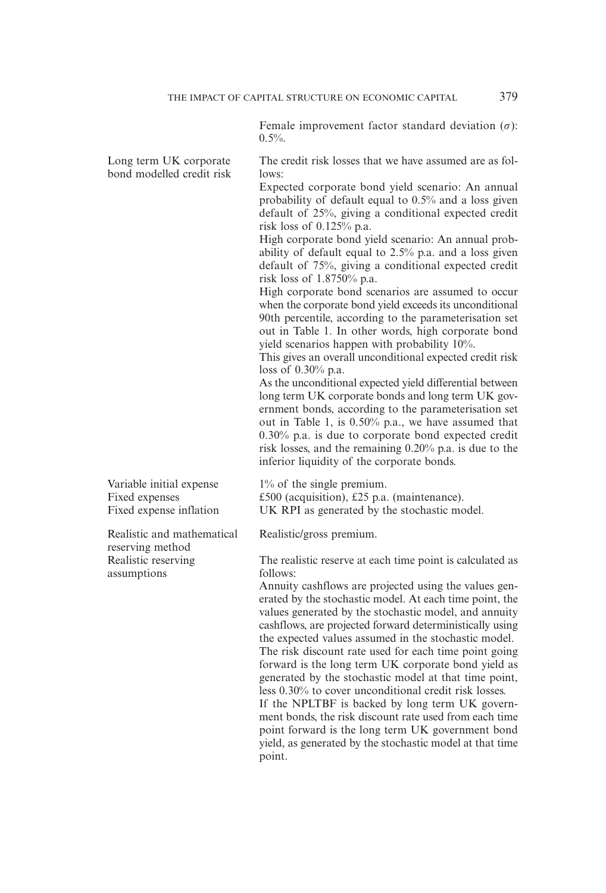Female improvement factor standard deviation  $(\sigma)$ :  $0.5%$ 

bond modelled credit risk lows:

Long term UK corporate The credit risk losses that we have assumed are as fol-

Expected corporate bond yield scenario: An annual probability of default equal to 0.5% and a loss given default of 25%, giving a conditional expected credit risk loss of 0.125% p.a.

High corporate bond yield scenario: An annual probability of default equal to 2.5% p.a. and a loss given default of 75%, giving a conditional expected credit risk loss of 1.8750% p.a.

High corporate bond scenarios are assumed to occur when the corporate bond yield exceeds its unconditional 90th percentile, according to the parameterisation set out in Table 1. In other words, high corporate bond yield scenarios happen with probability 10%.

This gives an overall unconditional expected credit risk loss of 0.30% p.a.

As the unconditional expected yield differential between long term UK corporate bonds and long term UK government bonds, according to the parameterisation set out in Table 1, is 0.50% p.a., we have assumed that 0.30% p.a. is due to corporate bond expected credit risk losses, and the remaining 0.20% p.a. is due to the inferior liquidity of the corporate bonds.

Variable initial expense  $1\%$  of the single premium. Fixed expenses  $£500$  (acquisition), £25 p.a. (maintenance). Fixed expense inflation UK RPI as generated by the stochastic model.

Realistic reserving The realistic reserve at each time point is calculated as

Annuity cashflows are projected using the values generated by the stochastic model. At each time point, the values generated by the stochastic model, and annuity cashflows, are projected forward deterministically using the expected values assumed in the stochastic model.

The risk discount rate used for each time point going forward is the long term UK corporate bond yield as generated by the stochastic model at that time point, less 0.30% to cover unconditional credit risk losses.

If the NPLTBF is backed by long term UK government bonds, the risk discount rate used from each time point forward is the long term UK government bond yield, as generated by the stochastic model at that time point.

Realistic and mathematical Realistic/gross premium. reserving method assumptions follows: